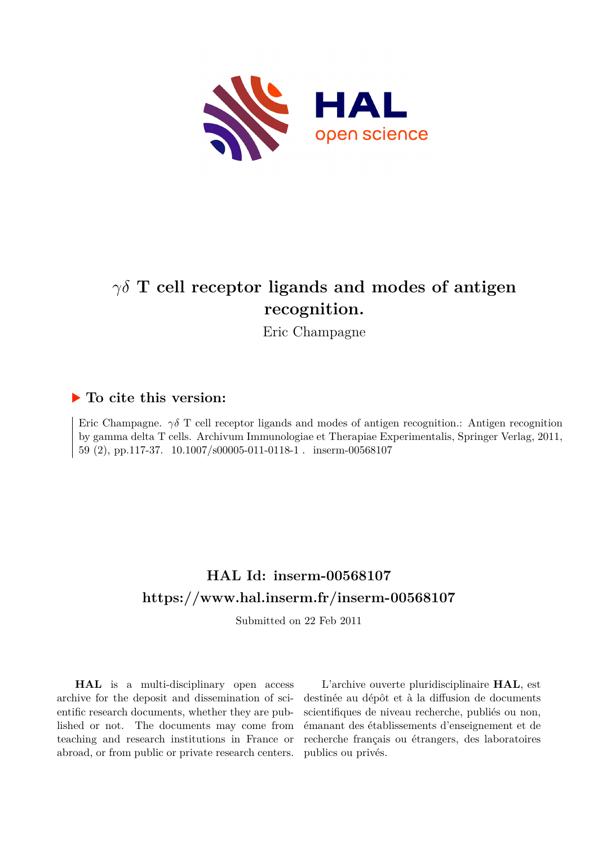

# *γδ* **T cell receptor ligands and modes of antigen recognition.**

Eric Champagne

## **To cite this version:**

Eric Champagne.  $\gamma \delta$  T cell receptor ligands and modes of antigen recognition.: Antigen recognition by gamma delta T cells. Archivum Immunologiae et Therapiae Experimentalis, Springer Verlag, 2011, 59 (2), pp.117-37. 10.1007/s00005-011-0118-1 . inserm-00568107

# **HAL Id: inserm-00568107 <https://www.hal.inserm.fr/inserm-00568107>**

Submitted on 22 Feb 2011

**HAL** is a multi-disciplinary open access archive for the deposit and dissemination of scientific research documents, whether they are published or not. The documents may come from teaching and research institutions in France or abroad, or from public or private research centers.

L'archive ouverte pluridisciplinaire **HAL**, est destinée au dépôt et à la diffusion de documents scientifiques de niveau recherche, publiés ou non, émanant des établissements d'enseignement et de recherche français ou étrangers, des laboratoires publics ou privés.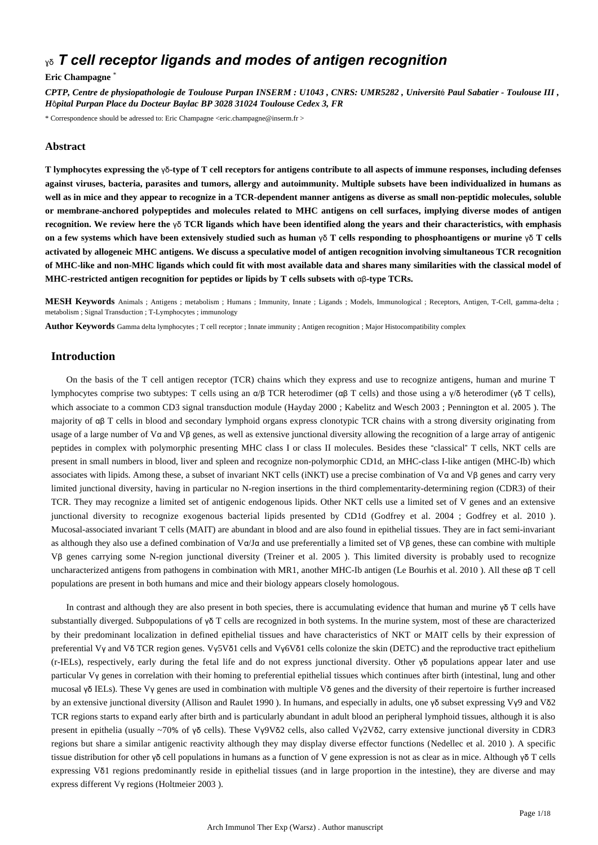## ɣδ *T cell receptor ligands and modes of antigen recognition*

## **Eric Champagne** \*

*CPTP, Centre de physiopathologie de Toulouse Purpan INSERM : U1043 , CNRS: UMR5282 , Universit*é *Paul Sabatier - Toulouse III , H*ô*pital Purpan Place du Docteur Baylac BP 3028 31024 Toulouse Cedex 3, FR*

\* Correspondence should be adressed to: Eric Champagne <eric.champagne@inserm.fr >

## **Abstract**

**T lymphocytes expressing the** γδ**-type of T cell receptors for antigens contribute to all aspects of immune responses, including defenses against viruses, bacteria, parasites and tumors, allergy and autoimmunity. Multiple subsets have been individualized in humans as well as in mice and they appear to recognize in a TCR-dependent manner antigens as diverse as small non-peptidic molecules, soluble or membrane-anchored polypeptides and molecules related to MHC antigens on cell surfaces, implying diverse modes of antigen recognition. We review here the** γδ **TCR ligands which have been identified along the years and their characteristics, with emphasis on a few systems which have been extensively studied such as human** γδ **T cells responding to phosphoantigens or murine** γδ **T cells activated by allogeneic MHC antigens. We discuss a speculative model of antigen recognition involving simultaneous TCR recognition of MHC-like and non-MHC ligands which could fit with most available data and shares many similarities with the classical model of MHC-restricted antigen recognition for peptides or lipids by T cells subsets with** αβ**-type TCRs.**

**MESH Keywords** Animals ; Antigens ; metabolism ; Humans ; Immunity, Innate ; Ligands ; Models, Immunological ; Receptors, Antigen, T-Cell, gamma-delta ; metabolism ; Signal Transduction ; T-Lymphocytes ; immunology

**Author Keywords** Gamma delta lymphocytes ; T cell receptor ; Innate immunity ; Antigen recognition ; Major Histocompatibility complex

## **Introduction**

On the basis of the T cell antigen receptor (TCR) chains which they express and use to recognize antigens, human and murine T lymphocytes comprise two subtypes: T cells using an α/β TCR heterodimer (αβ T cells) and those using a γ/δ heterodimer (γδ T cells), which associate to a common CD3 signal transduction module (Hayday 2000 ; Kabelitz and Wesch 2003 ; Pennington et al. 2005 ). The majority of αβ T cells in blood and secondary lymphoid organs express clonotypic TCR chains with a strong diversity originating from usage of a large number of Vα and Vβ genes, as well as extensive junctional diversity allowing the recognition of a large array of antigenic peptides in complex with polymorphic presenting MHC class I or class II molecules. Besides these "classical" T cells, NKT cells are present in small numbers in blood, liver and spleen and recognize non-polymorphic CD1d, an MHC-class I-like antigen (MHC-Ib) which associates with lipids. Among these, a subset of invariant NKT cells (iNKT) use a precise combination of Vα and Vβ genes and carry very limited junctional diversity, having in particular no N-region insertions in the third complementarity-determining region (CDR3) of their TCR. They may recognize a limited set of antigenic endogenous lipids. Other NKT cells use a limited set of V genes and an extensive junctional diversity to recognize exogenous bacterial lipids presented by CD1d (Godfrey et al. 2004 ; Godfrey et al. 2010 ). Mucosal-associated invariant T cells (MAIT) are abundant in blood and are also found in epithelial tissues. They are in fact semi-invariant as although they also use a defined combination of Vα/Jα and use preferentially a limited set of Vβ genes, these can combine with multiple Vβ genes carrying some N-region junctional diversity (Treiner et al. 2005 ). This limited diversity is probably used to recognize uncharacterized antigens from pathogens in combination with MR1, another MHC-Ib antigen (Le Bourhis et al. 2010 ). All these αβ T cell populations are present in both humans and mice and their biology appears closely homologous.

In contrast and although they are also present in both species, there is accumulating evidence that human and murine γδ T cells have substantially diverged. Subpopulations of γδ T cells are recognized in both systems. In the murine system, most of these are characterized by their predominant localization in defined epithelial tissues and have characteristics of NKT or MAIT cells by their expression of preferential Vγ and Vδ TCR region genes. Vγ5Vδ1 cells and Vγ6Vδ1 cells colonize the skin (DETC) and the reproductive tract epithelium (r-IELs), respectively, early during the fetal life and do not express junctional diversity. Other  $\gamma\delta$  populations appear later and use particular Vγ genes in correlation with their homing to preferential epithelial tissues which continues after birth (intestinal, lung and other mucosal γδ IELs). These Vγ genes are used in combination with multiple Vδ genes and the diversity of their repertoire is further increased by an extensive junctional diversity (Allison and Raulet 1990 ). In humans, and especially in adults, one γδ subset expressing Vγ9 and Vδ2 TCR regions starts to expand early after birth and is particularly abundant in adult blood an peripheral lymphoid tissues, although it is also present in epithelia (usually ~70% of γδ cells). These Vγ9Vδ2 cells, also called Vγ2Vδ2, carry extensive junctional diversity in CDR3 regions but share a similar antigenic reactivity although they may display diverse effector functions (Nedellec et al. 2010 ). A specific tissue distribution for other γδ cell populations in humans as a function of V gene expression is not as clear as in mice. Although γδ T cells expressing Vδ1 regions predominantly reside in epithelial tissues (and in large proportion in the intestine), they are diverse and may express different Vγ regions (Holtmeier 2003 ).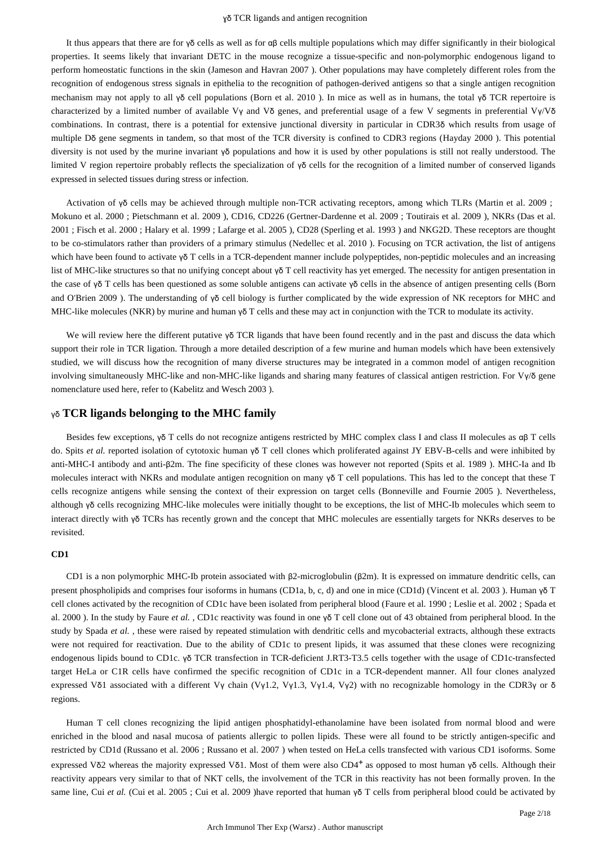It thus appears that there are for γδ cells as well as for αβ cells multiple populations which may differ significantly in their biological properties. It seems likely that invariant DETC in the mouse recognize a tissue-specific and non-polymorphic endogenous ligand to perform homeostatic functions in the skin (Jameson and Havran 2007 ). Other populations may have completely different roles from the recognition of endogenous stress signals in epithelia to the recognition of pathogen-derived antigens so that a single antigen recognition mechanism may not apply to all γδ cell populations (Born et al. 2010 ). In mice as well as in humans, the total γδ TCR repertoire is characterized by a limited number of available Vγ and Vδ genes, and preferential usage of a few V segments in preferential Vγ/Vδ combinations. In contrast, there is a potential for extensive junctional diversity in particular in CDR3δ which results from usage of multiple Dδ gene segments in tandem, so that most of the TCR diversity is confined to CDR3 regions (Hayday 2000 ). This potential diversity is not used by the murine invariant γδ populations and how it is used by other populations is still not really understood. The limited V region repertoire probably reflects the specialization of γδ cells for the recognition of a limited number of conserved ligands expressed in selected tissues during stress or infection.

Activation of γδ cells may be achieved through multiple non-TCR activating receptors, among which TLRs (Martin et al. 2009 ; Mokuno et al. 2000 ; Pietschmann et al. 2009 ), CD16, CD226 (Gertner-Dardenne et al. 2009 ; Toutirais et al. 2009 ), NKRs (Das et al. 2001 ; Fisch et al. 2000 ; Halary et al. 1999 ; Lafarge et al. 2005 ), CD28 (Sperling et al. 1993 ) and NKG2D. These receptors are thought to be co-stimulators rather than providers of a primary stimulus (Nedellec et al. 2010 ). Focusing on TCR activation, the list of antigens which have been found to activate γδ T cells in a TCR-dependent manner include polypeptides, non-peptidic molecules and an increasing list of MHC-like structures so that no unifying concept about γδ T cell reactivity has yet emerged. The necessity for antigen presentation in the case of γδ T cells has been questioned as some soluble antigens can activate γδ cells in the absence of antigen presenting cells (Born and O'Brien 2009 ). The understanding of γδ cell biology is further complicated by the wide expression of NK receptors for MHC and MHC-like molecules (NKR) by murine and human γδ T cells and these may act in conjunction with the TCR to modulate its activity.

We will review here the different putative γδ TCR ligands that have been found recently and in the past and discuss the data which support their role in TCR ligation. Through a more detailed description of a few murine and human models which have been extensively studied, we will discuss how the recognition of many diverse structures may be integrated in a common model of antigen recognition involving simultaneously MHC-like and non-MHC-like ligands and sharing many features of classical antigen restriction. For Vγ/δ gene nomenclature used here, refer to (Kabelitz and Wesch 2003 ).

## γδ **TCR ligands belonging to the MHC family**

Besides few exceptions, γδ T cells do not recognize antigens restricted by MHC complex class I and class II molecules as αβ T cells do. Spits *et al.* reported isolation of cytotoxic human γδ T cell clones which proliferated against JY EBV-B-cells and were inhibited by anti-MHC-I antibody and anti-β2m. The fine specificity of these clones was however not reported (Spits et al. 1989 ). MHC-Ia and Ib molecules interact with NKRs and modulate antigen recognition on many γδ T cell populations. This has led to the concept that these T cells recognize antigens while sensing the context of their expression on target cells (Bonneville and Fournie 2005 ). Nevertheless, although γδ cells recognizing MHC-like molecules were initially thought to be exceptions, the list of MHC-Ib molecules which seem to interact directly with γδ TCRs has recently grown and the concept that MHC molecules are essentially targets for NKRs deserves to be revisited.

## **CD1**

CD1 is a non polymorphic MHC-Ib protein associated with β2-microglobulin (β2m). It is expressed on immature dendritic cells, can present phospholipids and comprises four isoforms in humans (CD1a, b, c, d) and one in mice (CD1d) (Vincent et al. 2003 ). Human γδ T cell clones activated by the recognition of CD1c have been isolated from peripheral blood (Faure et al. 1990 ; Leslie et al. 2002 ; Spada et al. 2000 ). In the study by Faure *et al.* , CD1c reactivity was found in one γδ T cell clone out of 43 obtained from peripheral blood. In the study by Spada *et al.* , these were raised by repeated stimulation with dendritic cells and mycobacterial extracts, although these extracts were not required for reactivation. Due to the ability of CD1c to present lipids, it was assumed that these clones were recognizing endogenous lipids bound to CD1c. γδ TCR transfection in TCR-deficient J.RT3-T3.5 cells together with the usage of CD1c-transfected target HeLa or C1R cells have confirmed the specific recognition of CD1c in a TCR-dependent manner. All four clones analyzed expressed Vδ1 associated with a different Vγ chain (Vγ1.2, Vγ1.3, Vγ1.4, Vγ2) with no recognizable homology in the CDR3γ or δ regions.

Human T cell clones recognizing the lipid antigen phosphatidyl-ethanolamine have been isolated from normal blood and were enriched in the blood and nasal mucosa of patients allergic to pollen lipids. These were all found to be strictly antigen-specific and restricted by CD1d (Russano et al. 2006 ; Russano et al. 2007 ) when tested on HeLa cells transfected with various CD1 isoforms. Some expressed Vδ2 whereas the majority expressed Vδ1. Most of them were also CD4<sup>+</sup> as opposed to most human  $\gamma\delta$  cells. Although their reactivity appears very similar to that of NKT cells, the involvement of the TCR in this reactivity has not been formally proven. In the same line, Cui et al. (Cui et al. 2005 ; Cui et al. 2009 )have reported that human γδ T cells from peripheral blood could be activated by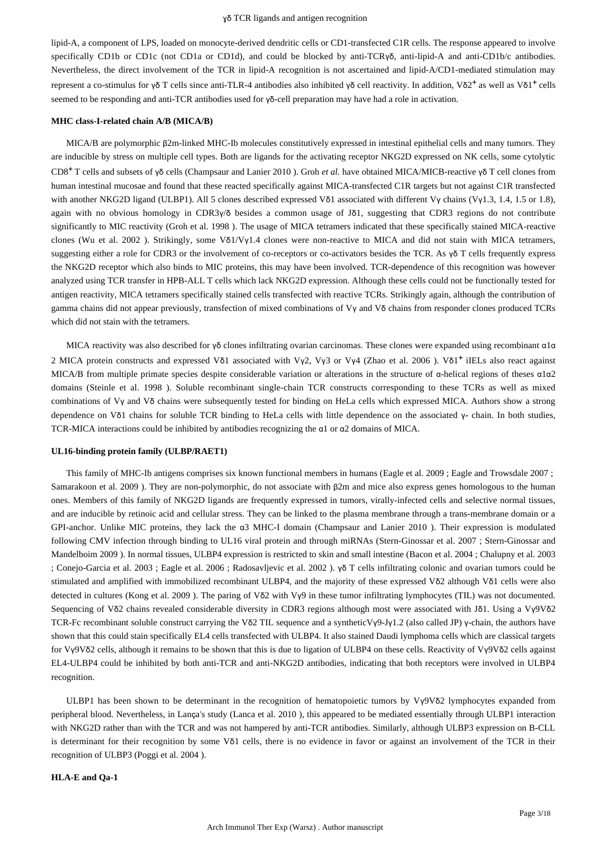lipid-A, a component of LPS, loaded on monocyte-derived dendritic cells or CD1-transfected C1R cells. The response appeared to involve specifically CD1b or CD1c (not CD1a or CD1d), and could be blocked by anti-TCRγδ, anti-lipid-A and anti-CD1b/c antibodies. Nevertheless, the direct involvement of the TCR in lipid-A recognition is not ascertained and lipid-A/CD1-mediated stimulation may represent a co-stimulus for γδ T cells since anti-TLR-4 antibodies also inhibited γδ cell reactivity. In addition, Vδ2<sup>+</sup> as well as Vδ1<sup>+</sup> cells seemed to be responding and anti-TCR antibodies used for γδ-cell preparation may have had a role in activation.

## **MHC class-I-related chain A/B (MICA/B)**

MICA/B are polymorphic β2m-linked MHC-Ib molecules constitutively expressed in intestinal epithelial cells and many tumors. They are inducible by stress on multiple cell types. Both are ligands for the activating receptor NKG2D expressed on NK cells, some cytolytic CD8+ T cells and subsets of γδ cells (Champsaur and Lanier 2010 ). Groh *et al.* have obtained MICA/MICB-reactive γδ T cell clones from human intestinal mucosae and found that these reacted specifically against MICA-transfected C1R targets but not against C1R transfected with another NKG2D ligand (ULBP1). All 5 clones described expressed Vδ1 associated with different Vγ chains (Vγ1.3, 1.4, 1.5 or 1.8), again with no obvious homology in CDR3γ/δ besides a common usage of Jδ1, suggesting that CDR3 regions do not contribute significantly to MIC reactivity (Groh et al. 1998 ). The usage of MICA tetramers indicated that these specifically stained MICA-reactive clones (Wu et al. 2002 ). Strikingly, some Vδ1/Vγ1.4 clones were non-reactive to MICA and did not stain with MICA tetramers, suggesting either a role for CDR3 or the involvement of co-receptors or co-activators besides the TCR. As γδ T cells frequently express the NKG2D receptor which also binds to MIC proteins, this may have been involved. TCR-dependence of this recognition was however analyzed using TCR transfer in HPB-ALL T cells which lack NKG2D expression. Although these cells could not be functionally tested for antigen reactivity, MICA tetramers specifically stained cells transfected with reactive TCRs. Strikingly again, although the contribution of gamma chains did not appear previously, transfection of mixed combinations of Vγ and Vδ chains from responder clones produced TCRs which did not stain with the tetramers.

MICA reactivity was also described for γδ clones infiltrating ovarian carcinomas. These clones were expanded using recombinant α1α 2 MICA protein constructs and expressed Vδ1 associated with Vy2, Vy3 or Vy4 (Zhao et al. 2006). Vδ1<sup>+</sup> iIELs also react against MICA/B from multiple primate species despite considerable variation or alterations in the structure of α-helical regions of theses α1α2 domains (Steinle et al. 1998 ). Soluble recombinant single-chain TCR constructs corresponding to these TCRs as well as mixed combinations of Vγ and Vδ chains were subsequently tested for binding on HeLa cells which expressed MICA. Authors show a strong dependence on Vδ1 chains for soluble TCR binding to HeLa cells with little dependence on the associated γ**-** chain. In both studies, TCR-MICA interactions could be inhibited by antibodies recognizing the α1 or α2 domains of MICA.

#### **UL16-binding protein family (ULBP/RAET1)**

This family of MHC-Ib antigens comprises six known functional members in humans (Eagle et al. 2009 ; Eagle and Trowsdale 2007 ; Samarakoon et al. 2009 ). They are non-polymorphic, do not associate with β2m and mice also express genes homologous to the human ones. Members of this family of NKG2D ligands are frequently expressed in tumors, virally-infected cells and selective normal tissues, and are inducible by retinoic acid and cellular stress. They can be linked to the plasma membrane through a trans-membrane domain or a GPI-anchor. Unlike MIC proteins, they lack the α3 MHC-I domain (Champsaur and Lanier 2010 ). Their expression is modulated following CMV infection through binding to UL16 viral protein and through miRNAs (Stern-Ginossar et al. 2007 ; Stern-Ginossar and Mandelboim 2009 ). In normal tissues, ULBP4 expression is restricted to skin and small intestine (Bacon et al. 2004 ; Chalupny et al. 2003 ; Conejo-Garcia et al. 2003 ; Eagle et al. 2006 ; Radosavljevic et al. 2002 ). γδ T cells infiltrating colonic and ovarian tumors could be stimulated and amplified with immobilized recombinant ULBP4, and the majority of these expressed Vδ2 although Vδ1 cells were also detected in cultures (Kong et al. 2009 ). The paring of Vδ2 with Vγ9 in these tumor infiltrating lymphocytes (TIL) was not documented. Sequencing of Vδ2 chains revealed considerable diversity in CDR3 regions although most were associated with Jδ1. Using a Vγ9Vδ2 TCR-Fc recombinant soluble construct carrying the Vδ2 TIL sequence and a syntheticVγ9-Jγ1.2 (also called JP) γ-chain, the authors have shown that this could stain specifically EL4 cells transfected with ULBP4. It also stained Daudi lymphoma cells which are classical targets for Vγ9Vδ2 cells, although it remains to be shown that this is due to ligation of ULBP4 on these cells. Reactivity of Vγ9Vδ2 cells against EL4-ULBP4 could be inhibited by both anti-TCR and anti-NKG2D antibodies, indicating that both receptors were involved in ULBP4 recognition.

ULBP1 has been shown to be determinant in the recognition of hematopoietic tumors by Vγ9Vδ2 lymphocytes expanded from peripheral blood. Nevertheless, in Lança's study (Lanca et al. 2010 ), this appeared to be mediated essentially through ULBP1 interaction with NKG2D rather than with the TCR and was not hampered by anti-TCR antibodies. Similarly, although ULBP3 expression on B-CLL is determinant for their recognition by some Vδ1 cells, there is no evidence in favor or against an involvement of the TCR in their recognition of ULBP3 (Poggi et al. 2004 ).

#### **HLA-E and Qa-1**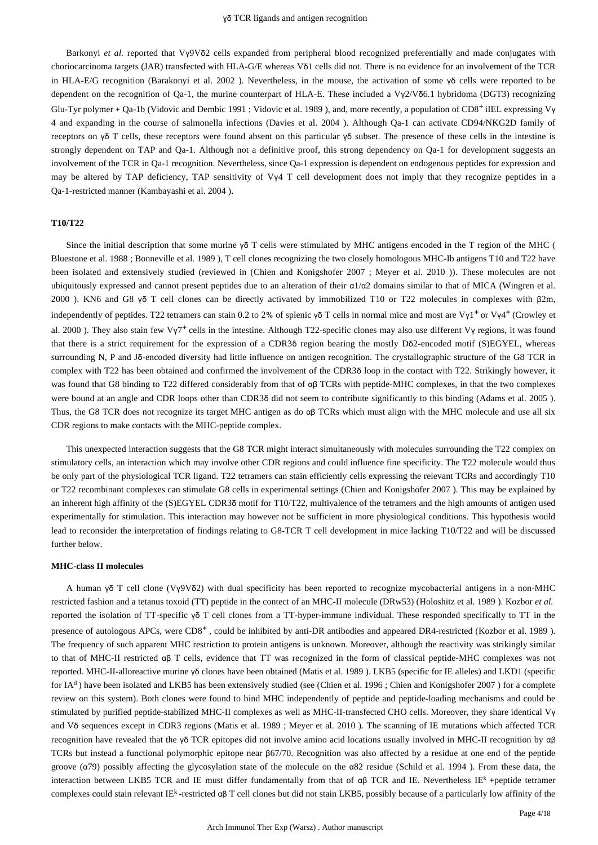Barkonyi *et al.* reported that Vγ9Vδ2 cells expanded from peripheral blood recognized preferentially and made conjugates with choriocarcinoma targets (JAR) transfected with HLA-G/E whereas Vδ1 cells did not. There is no evidence for an involvement of the TCR in HLA-E/G recognition (Barakonyi et al. 2002 ). Nevertheless, in the mouse, the activation of some γδ cells were reported to be dependent on the recognition of Qa-1, the murine counterpart of HLA-E. These included a Vγ2/Vδ6.1 hybridoma (DGT3) recognizing Glu-Tyr polymer + Qa-1b (Vidovic and Dembic 1991; Vidovic et al. 1989), and, more recently, a population of CD8<sup>+</sup> iIEL expressing Vy 4 and expanding in the course of salmonella infections (Davies et al. 2004 ). Although Qa-1 can activate CD94/NKG2D family of receptors on γδ T cells, these receptors were found absent on this particular γδ subset. The presence of these cells in the intestine is strongly dependent on TAP and Qa-1. Although not a definitive proof, this strong dependency on Qa-1 for development suggests an involvement of the TCR in Qa-1 recognition. Nevertheless, since Qa-1 expression is dependent on endogenous peptides for expression and may be altered by TAP deficiency, TAP sensitivity of Vγ4 T cell development does not imply that they recognize peptides in a Qa-1-restricted manner (Kambayashi et al. 2004 ).

#### **T10/T22**

Since the initial description that some murine γδ T cells were stimulated by MHC antigens encoded in the T region of the MHC ( Bluestone et al. 1988 ; Bonneville et al. 1989 ), T cell clones recognizing the two closely homologous MHC-Ib antigens T10 and T22 have been isolated and extensively studied (reviewed in (Chien and Konigshofer 2007 ; Meyer et al. 2010 )). These molecules are not ubiquitously expressed and cannot present peptides due to an alteration of their α1/α2 domains similar to that of MICA (Wingren et al. 2000 ). KN6 and G8 γδ T cell clones can be directly activated by immobilized T10 or T22 molecules in complexes with β2m, independently of peptides. T22 tetramers can stain 0.2 to 2% of splenic γδ T cells in normal mice and most are Vγ1<sup>+</sup> or Vγ4<sup>+</sup> (Crowley et al. 2000 ). They also stain few Vγ7<sup>+</sup> cells in the intestine. Although T22-specific clones may also use different Vγ regions, it was found that there is a strict requirement for the expression of a CDR3δ region bearing the mostly Dδ2-encoded motif (S)EGYEL, whereas surrounding N, P and Jδ-encoded diversity had little influence on antigen recognition. The crystallographic structure of the G8 TCR in complex with T22 has been obtained and confirmed the involvement of the CDR3δ loop in the contact with T22. Strikingly however, it was found that G8 binding to T22 differed considerably from that of αβ TCRs with peptide-MHC complexes, in that the two complexes were bound at an angle and CDR loops other than CDR3δ did not seem to contribute significantly to this binding (Adams et al. 2005 ). Thus, the G8 TCR does not recognize its target MHC antigen as do αβ TCRs which must align with the MHC molecule and use all six CDR regions to make contacts with the MHC-peptide complex.

This unexpected interaction suggests that the G8 TCR might interact simultaneously with molecules surrounding the T22 complex on stimulatory cells, an interaction which may involve other CDR regions and could influence fine specificity. The T22 molecule would thus be only part of the physiological TCR ligand. T22 tetramers can stain efficiently cells expressing the relevant TCRs and accordingly T10 or T22 recombinant complexes can stimulate G8 cells in experimental settings (Chien and Konigshofer 2007 ). This may be explained by an inherent high affinity of the (S)EGYEL CDR3δ motif for T10/T22, multivalence of the tetramers and the high amounts of antigen used experimentally for stimulation. This interaction may however not be sufficient in more physiological conditions. This hypothesis would lead to reconsider the interpretation of findings relating to G8-TCR T cell development in mice lacking T10/T22 and will be discussed further below.

## **MHC-class II molecules**

A human γδ T cell clone (Vγ9Vδ2) with dual specificity has been reported to recognize mycobacterial antigens in a non-MHC restricted fashion and a tetanus toxoid (TT) peptide in the contect of an MHC-II molecule (DRw53) (Holoshitz et al. 1989 ). Kozbor *et al.*  reported the isolation of TT-specific γδ T cell clones from a TT-hyper-immune individual. These responded specifically to TT in the presence of autologous APCs, were  $CD8^+$ , could be inhibited by anti-DR antibodies and appeared DR4-restricted (Kozbor et al. 1989). The frequency of such apparent MHC restriction to protein antigens is unknown. Moreover, although the reactivity was strikingly similar to that of MHC-II restricted αβ T cells, evidence that TT was recognized in the form of classical peptide-MHC complexes was not reported. MHC-II-alloreactive murine γδ clones have been obtained (Matis et al. 1989 ). LKB5 (specific for IE alleles) and LKD1 (specific for IA<sup>d</sup>) have been isolated and LKB5 has been extensively studied (see (Chien et al. 1996; Chien and Konigshofer 2007) for a complete review on this system). Both clones were found to bind MHC independently of peptide and peptide-loading mechanisms and could be stimulated by purified peptide-stabilized MHC-II complexes as well as MHC-II-transfected CHO cells. Moreover, they share identical Vγ and Vδ sequences except in CDR3 regions (Matis et al. 1989 ; Meyer et al. 2010 ). The scanning of IE mutations which affected TCR recognition have revealed that the γδ TCR epitopes did not involve amino acid locations usually involved in MHC-II recognition by αβ TCRs but instead a functional polymorphic epitope near β67/70. Recognition was also affected by a residue at one end of the peptide groove ( $α79$ ) possibly affecting the glycosylation state of the molecule on the  $α82$  residue (Schild et al. 1994). From these data, the interaction between LKB5 TCR and IE must differ fundamentally from that of  $\alpha\beta$  TCR and IE. Nevertheless IE<sup>k</sup> +peptide tetramer complexes could stain relevant IE<sup>k</sup>-restricted  $\alpha\beta$  T cell clones but did not stain LKB5, possibly because of a particularly low affinity of the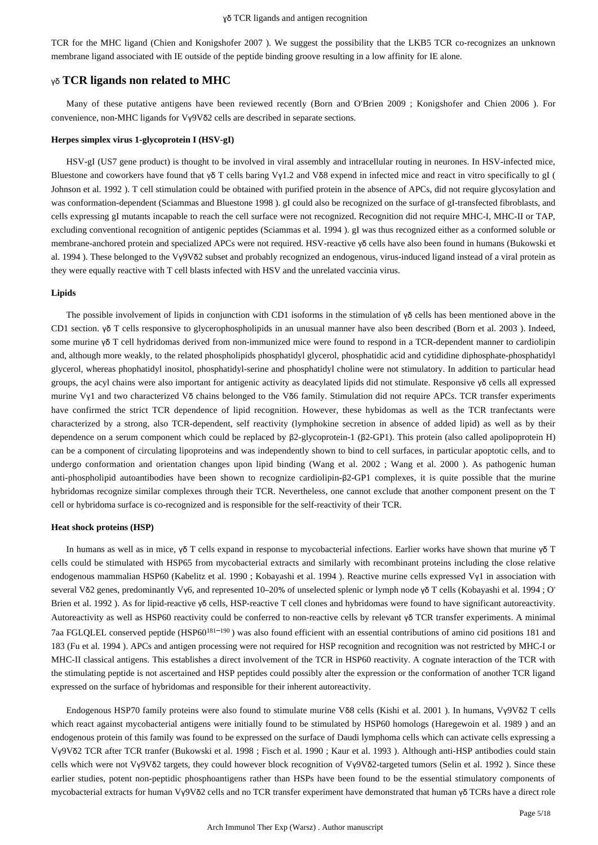TCR for the MHC ligand (Chien and Konigshofer 2007 ). We suggest the possibility that the LKB5 TCR co-recognizes an unknown membrane ligand associated with IE outside of the peptide binding groove resulting in a low affinity for IE alone.

## γδ **TCR ligands non related to MHC**

Many of these putative antigens have been reviewed recently (Born and O'Brien 2009 ; Konigshofer and Chien 2006 ). For convenience, non-MHC ligands for Vγ9Vδ2 cells are described in separate sections.

#### **Herpes simplex virus 1-glycoprotein I (HSV-gI)**

HSV-gI (US7 gene product) is thought to be involved in viral assembly and intracellular routing in neurones. In HSV-infected mice, Bluestone and coworkers have found that γδ T cells baring Vγ1.2 and Vδ8 expend in infected mice and react in vitro specifically to gI ( Johnson et al. 1992 ). T cell stimulation could be obtained with purified protein in the absence of APCs, did not require glycosylation and was conformation-dependent (Sciammas and Bluestone 1998 ). gI could also be recognized on the surface of gI-transfected fibroblasts, and cells expressing gI mutants incapable to reach the cell surface were not recognized. Recognition did not require MHC-I, MHC-II or TAP, excluding conventional recognition of antigenic peptides (Sciammas et al. 1994 ). gI was thus recognized either as a conformed soluble or membrane-anchored protein and specialized APCs were not required. HSV-reactive γδ cells have also been found in humans (Bukowski et al. 1994 ). These belonged to the Vγ9Vδ2 subset and probably recognized an endogenous, virus-induced ligand instead of a viral protein as they were equally reactive with T cell blasts infected with HSV and the unrelated vaccinia virus.

#### **Lipids**

The possible involvement of lipids in conjunction with CD1 isoforms in the stimulation of γδ cells has been mentioned above in the CD1 section. γδ T cells responsive to glycerophospholipids in an unusual manner have also been described (Born et al. 2003 ). Indeed, some murine γδ T cell hydridomas derived from non-immunized mice were found to respond in a TCR-dependent manner to cardiolipin and, although more weakly, to the related phospholipids phosphatidyl glycerol, phosphatidic acid and cytididine diphosphate-phosphatidyl glycerol, whereas phophatidyl inositol, phosphatidyl-serine and phosphatidyl choline were not stimulatory. In addition to particular head groups, the acyl chains were also important for antigenic activity as deacylated lipids did not stimulate. Responsive γδ cells all expressed murine Vγ1 and two characterized Vδ chains belonged to the Vδ6 family. Stimulation did not require APCs. TCR transfer experiments have confirmed the strict TCR dependence of lipid recognition. However, these hybidomas as well as the TCR tranfectants were characterized by a strong, also TCR-dependent, self reactivity (lymphokine secretion in absence of added lipid) as well as by their dependence on a serum component which could be replaced by β2-glycoprotein-1 (β2-GP1). This protein (also called apolipoprotein H) can be a component of circulating lipoproteins and was independently shown to bind to cell surfaces, in particular apoptotic cells, and to undergo conformation and orientation changes upon lipid binding (Wang et al. 2002 ; Wang et al. 2000 ). As pathogenic human anti-phospholipid autoantibodies have been shown to recognize cardiolipin-β2-GP1 complexes, it is quite possible that the murine hybridomas recognize similar complexes through their TCR. Nevertheless, one cannot exclude that another component present on the T cell or hybridoma surface is co-recognized and is responsible for the self-reactivity of their TCR.

## **Heat shock proteins (HSP)**

In humans as well as in mice, γδ T cells expand in response to mycobacterial infections. Earlier works have shown that murine γδ T cells could be stimulated with HSP65 from mycobacterial extracts and similarly with recombinant proteins including the close relative endogenous mammalian HSP60 (Kabelitz et al. 1990 ; Kobayashi et al. 1994 ). Reactive murine cells expressed Vγ1 in association with several Vδ2 genes, predominantly Vγ6, and represented 10–20% of unselected splenic or lymph node γδ T cells (Kobayashi et al. 1994 ; O' Brien et al. 1992 ). As for lipid-reactive γδ cells, HSP-reactive T cell clones and hybridomas were found to have significant autoreactivity. Autoreactivity as well as HSP60 reactivity could be conferred to non-reactive cells by relevant γδ TCR transfer experiments. A minimal 7aa FGLQLEL conserved peptide  $(HSP60^{181-190})$  was also found efficient with an essential contributions of amino cid positions 181 and 183 (Fu et al. 1994 ). APCs and antigen processing were not required for HSP recognition and recognition was not restricted by MHC-I or MHC-II classical antigens. This establishes a direct involvement of the TCR in HSP60 reactivity. A cognate interaction of the TCR with the stimulating peptide is not ascertained and HSP peptides could possibly alter the expression or the conformation of another TCR ligand expressed on the surface of hybridomas and responsible for their inherent autoreactivity.

Endogenous HSP70 family proteins were also found to stimulate murine Vδ8 cells (Kishi et al. 2001 ). In humans, Vγ9Vδ2 T cells which react against mycobacterial antigens were initially found to be stimulated by HSP60 homologs (Haregewoin et al. 1989) and an endogenous protein of this family was found to be expressed on the surface of Daudi lymphoma cells which can activate cells expressing a Vγ9Vδ2 TCR after TCR tranfer (Bukowski et al. 1998 ; Fisch et al. 1990 ; Kaur et al. 1993 ). Although anti-HSP antibodies could stain cells which were not Vγ9Vδ2 targets, they could however block recognition of Vγ9Vδ2-targeted tumors (Selin et al. 1992 ). Since these earlier studies, potent non-peptidic phosphoantigens rather than HSPs have been found to be the essential stimulatory components of mycobacterial extracts for human Vγ9Vδ2 cells and no TCR transfer experiment have demonstrated that human γδ TCRs have a direct role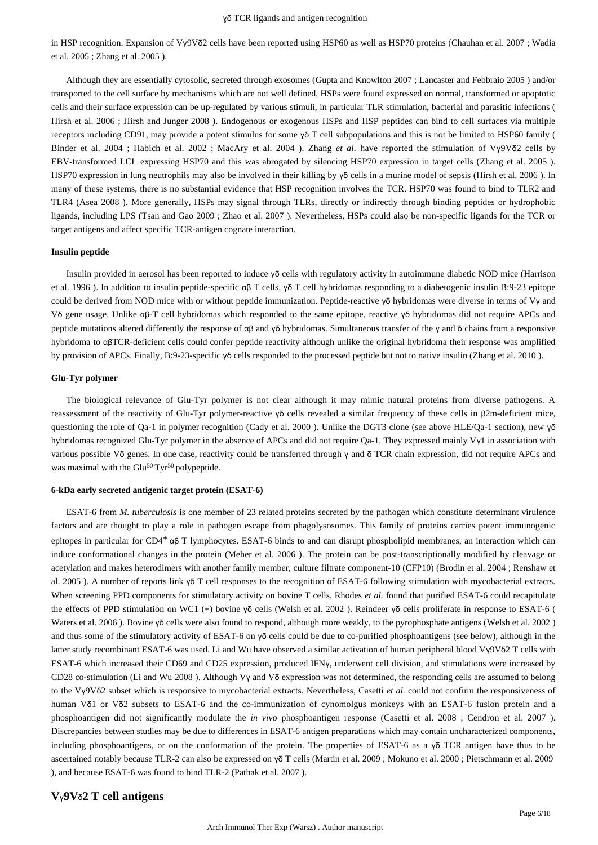in HSP recognition. Expansion of Vγ9Vδ2 cells have been reported using HSP60 as well as HSP70 proteins (Chauhan et al. 2007 ; Wadia et al. 2005 ; Zhang et al. 2005 ).

Although they are essentially cytosolic, secreted through exosomes (Gupta and Knowlton 2007 ; Lancaster and Febbraio 2005 ) and/or transported to the cell surface by mechanisms which are not well defined, HSPs were found expressed on normal, transformed or apoptotic cells and their surface expression can be up-regulated by various stimuli, in particular TLR stimulation, bacterial and parasitic infections ( Hirsh et al. 2006 ; Hirsh and Junger 2008 ). Endogenous or exogenous HSPs and HSP peptides can bind to cell surfaces via multiple receptors including CD91, may provide a potent stimulus for some γδ T cell subpopulations and this is not be limited to HSP60 family ( Binder et al. 2004 ; Habich et al. 2002 ; MacAry et al. 2004 ). Zhang *et al.* have reported the stimulation of Vγ9Vδ2 cells by EBV-transformed LCL expressing HSP70 and this was abrogated by silencing HSP70 expression in target cells (Zhang et al. 2005 ). HSP70 expression in lung neutrophils may also be involved in their killing by γδ cells in a murine model of sepsis (Hirsh et al. 2006 ). In many of these systems, there is no substantial evidence that HSP recognition involves the TCR. HSP70 was found to bind to TLR2 and TLR4 (Asea 2008 ). More generally, HSPs may signal through TLRs, directly or indirectly through binding peptides or hydrophobic ligands, including LPS (Tsan and Gao 2009 ; Zhao et al. 2007 ). Nevertheless, HSPs could also be non-specific ligands for the TCR or target antigens and affect specific TCR-antigen cognate interaction.

#### **Insulin peptide**

Insulin provided in aerosol has been reported to induce γδ cells with regulatory activity in autoimmune diabetic NOD mice (Harrison et al. 1996 ). In addition to insulin peptide-specific αβ T cells, γδ T cell hybridomas responding to a diabetogenic insulin B:9-23 epitope could be derived from NOD mice with or without peptide immunization. Peptide-reactive γδ hybridomas were diverse in terms of Vγ and Vδ gene usage. Unlike αβ-T cell hybridomas which responded to the same epitope, reactive γδ hybridomas did not require APCs and peptide mutations altered differently the response of αβ and γδ hybridomas. Simultaneous transfer of the γ and δ chains from a responsive hybridoma to αβTCR-deficient cells could confer peptide reactivity although unlike the original hybridoma their response was amplified by provision of APCs. Finally, B:9-23-specific γδ cells responded to the processed peptide but not to native insulin (Zhang et al. 2010 ).

### **Glu-Tyr polymer**

The biological relevance of Glu-Tyr polymer is not clear although it may mimic natural proteins from diverse pathogens. A reassessment of the reactivity of Glu-Tyr polymer-reactive γδ cells revealed a similar frequency of these cells in β2m-deficient mice, questioning the role of Qa-1 in polymer recognition (Cady et al. 2000). Unlike the DGT3 clone (see above HLE/Qa-1 section), new  $\gamma \delta$ hybridomas recognized Glu-Tyr polymer in the absence of APCs and did not require Qa-1. They expressed mainly Vγ1 in association with various possible Vδ genes. In one case, reactivity could be transferred through γ and δ TCR chain expression, did not require APCs and was maximal with the  $Glu<sup>50</sup> Tvr<sup>50</sup> polypeptide.$ 

## **6-kDa early secreted antigenic target protein (ESAT-6)**

ESAT-6 from *M. tuberculosis* is one member of 23 related proteins secreted by the pathogen which constitute determinant virulence factors and are thought to play a role in pathogen escape from phagolysosomes. This family of proteins carries potent immunogenic epitopes in particular for  $CD4^+$   $\alpha\beta$  T lymphocytes. ESAT-6 binds to and can disrupt phospholipid membranes, an interaction which can induce conformational changes in the protein (Meher et al. 2006 ). The protein can be post-transcriptionally modified by cleavage or acetylation and makes heterodimers with another family member, culture filtrate component-10 (CFP10) (Brodin et al. 2004 ; Renshaw et al. 2005 ). A number of reports link γδ T cell responses to the recognition of ESAT-6 following stimulation with mycobacterial extracts. When screening PPD components for stimulatory activity on bovine T cells, Rhodes *et al.* found that purified ESAT-6 could recapitulate the effects of PPD stimulation on WC1 (+) bovine γδ cells (Welsh et al. 2002 ). Reindeer γδ cells proliferate in response to ESAT-6 ( Waters et al. 2006 ). Bovine γδ cells were also found to respond, although more weakly, to the pyrophosphate antigens (Welsh et al. 2002 ) and thus some of the stimulatory activity of ESAT-6 on γδ cells could be due to co-purified phosphoantigens (see below), although in the latter study recombinant ESAT-6 was used. Li and Wu have observed a similar activation of human peripheral blood Vγ9Vδ2 T cells with ESAT-6 which increased their CD69 and CD25 expression, produced IFNγ, underwent cell division, and stimulations were increased by CD28 co-stimulation (Li and Wu 2008 ). Although Vγ and Vδ expression was not determined, the responding cells are assumed to belong to the Vγ9Vδ2 subset which is responsive to mycobacterial extracts. Nevertheless, Casetti *et al.* could not confirm the responsiveness of human Vδ1 or Vδ2 subsets to ESAT-6 and the co-immunization of cynomolgus monkeys with an ESAT-6 fusion protein and a phosphoantigen did not significantly modulate the *in vivo* phosphoantigen response (Casetti et al. 2008 ; Cendron et al. 2007 ). Discrepancies between studies may be due to differences in ESAT-6 antigen preparations which may contain uncharacterized components, including phosphoantigens, or on the conformation of the protein. The properties of ESAT-6 as a  $\gamma\delta$  TCR antigen have thus to be ascertained notably because TLR-2 can also be expressed on γδ T cells (Martin et al. 2009 ; Mokuno et al. 2000 ; Pietschmann et al. 2009 ), and because ESAT-6 was found to bind TLR-2 (Pathak et al. 2007 ).

## **V**γ**9V**δ**2 T cell antigens**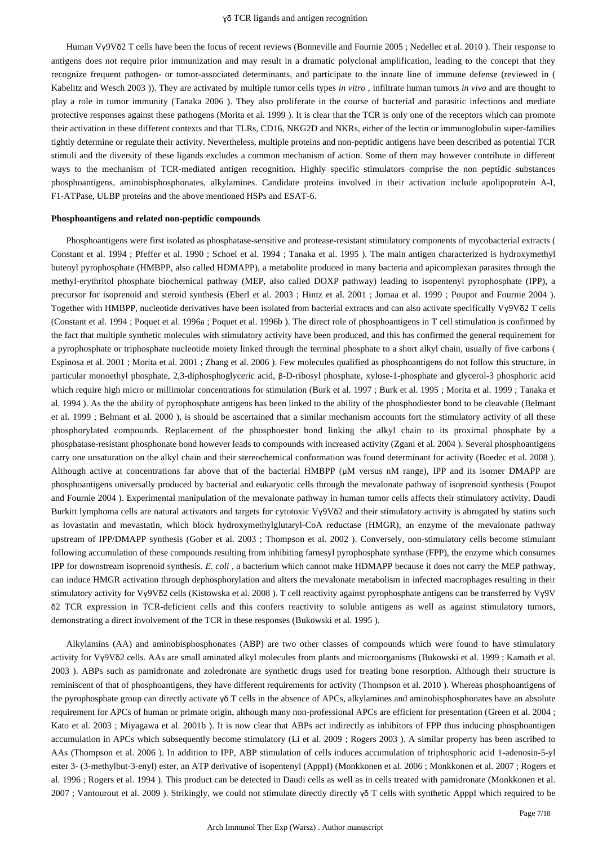Human Vγ9Vδ2 T cells have been the focus of recent reviews (Bonneville and Fournie 2005 ; Nedellec et al. 2010 ). Their response to antigens does not require prior immunization and may result in a dramatic polyclonal amplification, leading to the concept that they recognize frequent pathogen- or tumor-associated determinants, and participate to the innate line of immune defense (reviewed in ( Kabelitz and Wesch 2003 )). They are activated by multiple tumor cells types *in vitro* , infiltrate human tumors *in vivo* and are thought to play a role in tumor immunity (Tanaka 2006 ). They also proliferate in the course of bacterial and parasitic infections and mediate protective responses against these pathogens (Morita et al. 1999 ). It is clear that the TCR is only one of the receptors which can promote their activation in these different contexts and that TLRs, CD16, NKG2D and NKRs, either of the lectin or immunoglobulin super-families tightly determine or regulate their activity. Nevertheless, multiple proteins and non-peptidic antigens have been described as potential TCR stimuli and the diversity of these ligands excludes a common mechanism of action. Some of them may however contribute in different ways to the mechanism of TCR-mediated antigen recognition. Highly specific stimulators comprise the non peptidic substances phosphoantigens, aminobisphosphonates, alkylamines. Candidate proteins involved in their activation include apolipoprotein A-I, F1-ATPase, ULBP proteins and the above mentioned HSPs and ESAT-6.

#### **Phosphoantigens and related non-peptidic compounds**

Phosphoantigens were first isolated as phosphatase-sensitive and protease-resistant stimulatory components of mycobacterial extracts ( Constant et al. 1994 ; Pfeffer et al. 1990 ; Schoel et al. 1994 ; Tanaka et al. 1995 ). The main antigen characterized is hydroxymethyl butenyl pyrophosphate (HMBPP, also called HDMAPP), a metabolite produced in many bacteria and apicomplexan parasites through the methyl-erythritol phosphate biochemical pathway (MEP, also called DOXP pathway) leading to isopentenyl pyrophosphate (IPP), a precursor for isoprenoid and steroid synthesis (Eberl et al. 2003 ; Hintz et al. 2001 ; Jomaa et al. 1999 ; Poupot and Fournie 2004 ). Together with HMBPP, nucleotide derivatives have been isolated from bacterial extracts and can also activate specifically Vγ9Vδ2 T cells (Constant et al. 1994 ; Poquet et al. 1996a ; Poquet et al. 1996b ). The direct role of phosphoantigens in T cell stimulation is confirmed by the fact that multiple synthetic molecules with stimulatory activity have been produced, and this has confirmed the general requirement for a pyrophosphate or triphosphate nucleotide moiety linked through the terminal phosphate to a short alkyl chain, usually of five carbons ( Espinosa et al. 2001 ; Morita et al. 2001 ; Zhang et al. 2006 ). Few molecules qualified as phosphoantigens do not follow this structure, in particular monoethyl phosphate, 2,3-diphosphoglyceric acid, β-D-ribosyl phosphate, xylose-1-phosphate and glycerol-3 phosphoric acid which require high micro or millimolar concentrations for stimulation (Burk et al. 1997 ; Burk et al. 1995 ; Morita et al. 1999 ; Tanaka et al. 1994 ). As the the ability of pyrophosphate antigens has been linked to the ability of the phosphodiester bond to be cleavable (Belmant et al. 1999 ; Belmant et al. 2000 ), is should be ascertained that a similar mechanism accounts fort the stimulatory activity of all these phosphorylated compounds. Replacement of the phosphoester bond linking the alkyl chain to its proximal phosphate by a phosphatase-resistant phosphonate bond however leads to compounds with increased activity (Zgani et al. 2004 ). Several phosphoantigens carry one unsaturation on the alkyl chain and their stereochemical conformation was found determinant for activity (Boedec et al. 2008 ). Although active at concentrations far above that of the bacterial HMBPP (μM versus nM range), IPP and its isomer DMAPP are phosphoantigens universally produced by bacterial and eukaryotic cells through the mevalonate pathway of isoprenoid synthesis (Poupot and Fournie 2004 ). Experimental manipulation of the mevalonate pathway in human tumor cells affects their stimulatory activity. Daudi Burkitt lymphoma cells are natural activators and targets for cytotoxic Vγ9Vδ2 and their stimulatory activity is abrogated by statins such as lovastatin and mevastatin, which block hydroxymethylglutaryl-CoA reductase (HMGR), an enzyme of the mevalonate pathway upstream of IPP/DMAPP synthesis (Gober et al. 2003 ; Thompson et al. 2002 ). Conversely, non-stimulatory cells become stimulant following accumulation of these compounds resulting from inhibiting farnesyl pyrophosphate synthase (FPP), the enzyme which consumes IPP for downstream isoprenoid synthesis. *E. coli* , a bacterium which cannot make HDMAPP because it does not carry the MEP pathway, can induce HMGR activation through dephosphorylation and alters the mevalonate metabolism in infected macrophages resulting in their stimulatory activity for Vγ9Vδ2 cells (Kistowska et al. 2008 ). T cell reactivity against pyrophosphate antigens can be transferred by Vγ9V δ2 TCR expression in TCR-deficient cells and this confers reactivity to soluble antigens as well as against stimulatory tumors, demonstrating a direct involvement of the TCR in these responses (Bukowski et al. 1995 ).

Alkylamins (AA) and aminobisphosphonates (ABP) are two other classes of compounds which were found to have stimulatory activity for Vγ9Vδ2 cells. AAs are small aminated alkyl molecules from plants and microorganisms (Bukowski et al. 1999 ; Kamath et al. 2003 ). ABPs such as pamidronate and zoledronate are synthetic drugs used for treating bone resorption. Although their structure is reminiscent of that of phosphoantigens, they have different requirements for activity (Thompson et al. 2010 ). Whereas phosphoantigens of the pyrophosphate group can directly activate γδ T cells in the absence of APCs, alkylamines and aminobisphosphonates have an absolute requirement for APCs of human or primate origin, although many non-professional APCs are efficient for presentation (Green et al. 2004 ; Kato et al. 2003 ; Miyagawa et al. 2001b ). It is now clear that ABPs act indirectly as inhibitors of FPP thus inducing phosphoantigen accumulation in APCs which subsequently become stimulatory (Li et al. 2009 ; Rogers 2003 ). A similar property has been ascribed to AAs (Thompson et al. 2006 ). In addition to IPP, ABP stimulation of cells induces accumulation of triphosphoric acid 1-adenosin-5-yl ester 3- (3-methylbut-3-enyl) ester, an ATP derivative of isopentenyl (ApppI) (Monkkonen et al. 2006 ; Monkkonen et al. 2007 ; Rogers et al. 1996 ; Rogers et al. 1994 ). This product can be detected in Daudi cells as well as in cells treated with pamidronate (Monkkonen et al. 2007 ; Vantourout et al. 2009 ). Strikingly, we could not stimulate directly directly γδ T cells with synthetic ApppI which required to be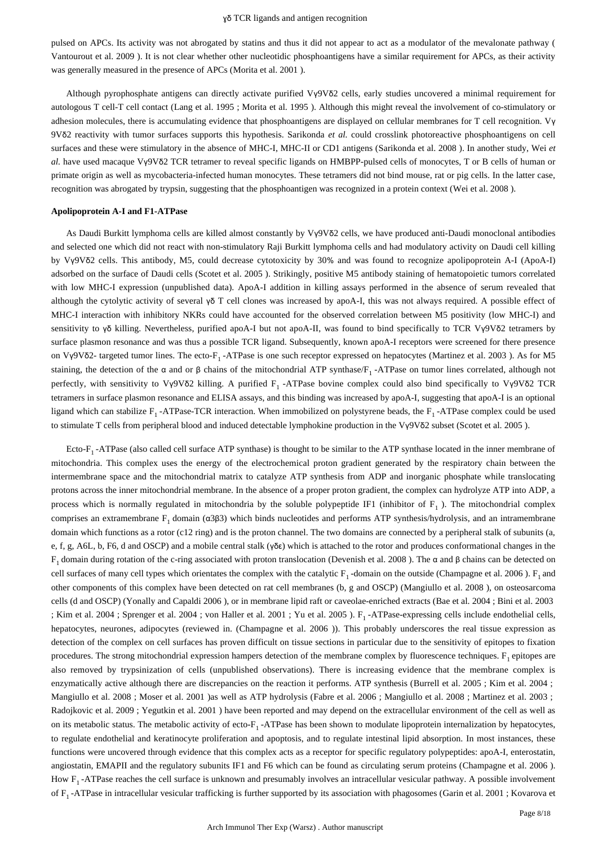pulsed on APCs. Its activity was not abrogated by statins and thus it did not appear to act as a modulator of the mevalonate pathway ( Vantourout et al. 2009 ). It is not clear whether other nucleotidic phosphoantigens have a similar requirement for APCs, as their activity was generally measured in the presence of APCs (Morita et al. 2001 ).

Although pyrophosphate antigens can directly activate purified Vγ9Vδ2 cells, early studies uncovered a minimal requirement for autologous T cell-T cell contact (Lang et al. 1995 ; Morita et al. 1995 ). Although this might reveal the involvement of co-stimulatory or adhesion molecules, there is accumulating evidence that phosphoantigens are displayed on cellular membranes for T cell recognition. Vγ 9Vδ2 reactivity with tumor surfaces supports this hypothesis. Sarikonda *et al.* could crosslink photoreactive phosphoantigens on cell surfaces and these were stimulatory in the absence of MHC-I, MHC-II or CD1 antigens (Sarikonda et al. 2008 ). In another study, Wei *et al.* have used macaque Vγ9Vδ2 TCR tetramer to reveal specific ligands on HMBPP-pulsed cells of monocytes, T or B cells of human or primate origin as well as mycobacteria-infected human monocytes. These tetramers did not bind mouse, rat or pig cells. In the latter case, recognition was abrogated by trypsin, suggesting that the phosphoantigen was recognized in a protein context (Wei et al. 2008 ).

#### **Apolipoprotein A-I and F1-ATPase**

As Daudi Burkitt lymphoma cells are killed almost constantly by Vγ9Vδ2 cells, we have produced anti-Daudi monoclonal antibodies and selected one which did not react with non-stimulatory Raji Burkitt lymphoma cells and had modulatory activity on Daudi cell killing by Vγ9Vδ2 cells. This antibody, M5, could decrease cytotoxicity by 30% and was found to recognize apolipoprotein A-I (ApoA-I) adsorbed on the surface of Daudi cells (Scotet et al. 2005 ). Strikingly, positive M5 antibody staining of hematopoietic tumors correlated with low MHC-I expression (unpublished data). ApoA-I addition in killing assays performed in the absence of serum revealed that although the cytolytic activity of several  $\gamma \delta T$  cell clones was increased by apoA-I, this was not always required. A possible effect of MHC-I interaction with inhibitory NKRs could have accounted for the observed correlation between M5 positivity (low MHC-I) and sensitivity to γδ killing. Nevertheless, purified apoA-I but not apoA-II, was found to bind specifically to TCR Vγ9Vδ2 tetramers by surface plasmon resonance and was thus a possible TCR ligand. Subsequently, known apoA-I receptors were screened for there presence on Vγ9Vδ2- targeted tumor lines. The ecto-F<sub>1</sub>-ATPase is one such receptor expressed on hepatocytes (Martinez et al. 2003). As for M5 staining, the detection of the α and or β chains of the mitochondrial ATP synthase/F<sub>1</sub> -ATPase on tumor lines correlated, although not perfectly, with sensitivity to Vγ9Vδ2 killing. A purified F<sub>1</sub>-ATPase bovine complex could also bind specifically to Vγ9Vδ2 TCR tetramers in surface plasmon resonance and ELISA assays, and this binding was increased by apoA-I, suggesting that apoA-I is an optional ligand which can stabilize  $F_1$ -ATPase-TCR interaction. When immobilized on polystyrene beads, the  $F_1$ -ATPase complex could be used to stimulate T cells from peripheral blood and induced detectable lymphokine production in the Vγ9Vδ2 subset (Scotet et al. 2005 ).

Ecto- $F_1$ -ATPase (also called cell surface ATP synthase) is thought to be similar to the ATP synthase located in the inner membrane of mitochondria. This complex uses the energy of the electrochemical proton gradient generated by the respiratory chain between the intermembrane space and the mitochondrial matrix to catalyze ATP synthesis from ADP and inorganic phosphate while translocating protons across the inner mitochondrial membrane. In the absence of a proper proton gradient, the complex can hydrolyze ATP into ADP, a process which is normally regulated in mitochondria by the soluble polypeptide IF1 (inhibitor of  $F_1$ ). The mitochondrial complex comprises an extramembrane  $F_1$  domain ( $α3β3$ ) which binds nucleotides and performs ATP synthesis/hydrolysis, and an intramembrane domain which functions as a rotor (c12 ring) and is the proton channel. The two domains are connected by a peripheral stalk of subunits (a, e, f, g, A6L, b, F6, d and OSCP) and a mobile central stalk (γδε) which is attached to the rotor and produces conformational changes in the  $F_1$  domain during rotation of the c-ring associated with proton translocation (Devenish et al. 2008). The  $\alpha$  and  $\beta$  chains can be detected on cell surfaces of many cell types which orientates the complex with the catalytic  $F_1$ -domain on the outside (Champagne et al. 2006).  $F_1$  and other components of this complex have been detected on rat cell membranes (b, g and OSCP) (Mangiullo et al. 2008 ), on osteosarcoma cells (d and OSCP) (Yonally and Capaldi 2006 ), or in membrane lipid raft or caveolae-enriched extracts (Bae et al. 2004 ; Bini et al. 2003 ; Kim et al. 2004 ; Sprenger et al. 2004 ; von Haller et al. 2001 ; Yu et al. 2005 ). F<sub>1</sub>-ATPase-expressing cells include endothelial cells, hepatocytes, neurones, adipocytes (reviewed in. (Champagne et al. 2006)). This probably underscores the real tissue expression as detection of the complex on cell surfaces has proven difficult on tissue sections in particular due to the sensitivity of epitopes to fixation procedures. The strong mitochondrial expression hampers detection of the membrane complex by fluorescence techniques.  $F_1$  epitopes are also removed by trypsinization of cells (unpublished observations). There is increasing evidence that the membrane complex is enzymatically active although there are discrepancies on the reaction it performs. ATP synthesis (Burrell et al. 2005 ; Kim et al. 2004 ; Mangiullo et al. 2008 ; Moser et al. 2001 )as well as ATP hydrolysis (Fabre et al. 2006 ; Mangiullo et al. 2008 ; Martinez et al. 2003 ; Radojkovic et al. 2009 ; Yegutkin et al. 2001 ) have been reported and may depend on the extracellular environment of the cell as well as on its metabolic status. The metabolic activity of ecto-F<sub>1</sub>-ATPase has been shown to modulate lipoprotein internalization by hepatocytes, to regulate endothelial and keratinocyte proliferation and apoptosis, and to regulate intestinal lipid absorption. In most instances, these functions were uncovered through evidence that this complex acts as a receptor for specific regulatory polypeptides: apoA-I, enterostatin, angiostatin, EMAPII and the regulatory subunits IF1 and F6 which can be found as circulating serum proteins (Champagne et al. 2006 ). How  $F_1$ -ATPase reaches the cell surface is unknown and presumably involves an intracellular vesicular pathway. A possible involvement of  $F_1$ -ATPase in intracellular vesicular trafficking is further supported by its association with phagosomes (Garin et al. 2001; Kovarova et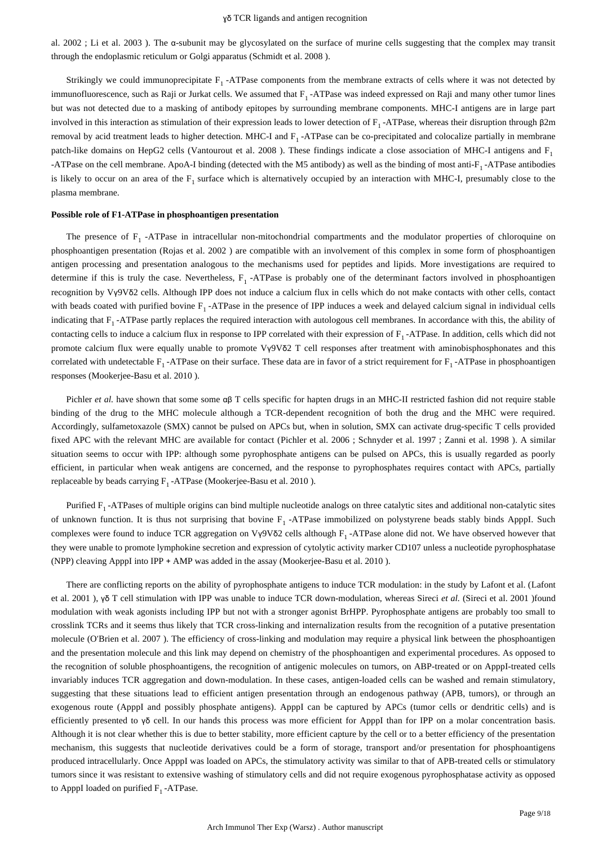al. 2002 ; Li et al. 2003 ). The α-subunit may be glycosylated on the surface of murine cells suggesting that the complex may transit through the endoplasmic reticulum or Golgi apparatus (Schmidt et al. 2008 ).

Strikingly we could immunoprecipitate  $F_1$ -ATPase components from the membrane extracts of cells where it was not detected by immunofluorescence, such as Raji or Jurkat cells. We assumed that  $F_1$ -ATPase was indeed expressed on Raji and many other tumor lines but was not detected due to a masking of antibody epitopes by surrounding membrane components. MHC-I antigens are in large part involved in this interaction as stimulation of their expression leads to lower detection of  $F_1$ -ATPase, whereas their disruption through β2m removal by acid treatment leads to higher detection. MHC-I and  $F_1$ -ATPase can be co-precipitated and colocalize partially in membrane patch-like domains on HepG2 cells (Vantourout et al. 2008). These findings indicate a close association of MHC-I antigens and  $F_1$ -ATPase on the cell membrane. ApoA-I binding (detected with the M5 antibody) as well as the binding of most anti- $F_1$ -ATPase antibodies is likely to occur on an area of the  $F_1$  surface which is alternatively occupied by an interaction with MHC-I, presumably close to the plasma membrane.

## **Possible role of F1-ATPase in phosphoantigen presentation**

The presence of  $F_1$ -ATPase in intracellular non-mitochondrial compartments and the modulator properties of chloroquine on phosphoantigen presentation (Rojas et al. 2002 ) are compatible with an involvement of this complex in some form of phosphoantigen antigen processing and presentation analogous to the mechanisms used for peptides and lipids. More investigations are required to determine if this is truly the case. Nevertheless,  $F_1$ -ATPase is probably one of the determinant factors involved in phosphoantigen recognition by Vγ9Vδ2 cells. Although IPP does not induce a calcium flux in cells which do not make contacts with other cells, contact with beads coated with purified bovine  $F_1$ -ATPase in the presence of IPP induces a week and delayed calcium signal in individual cells indicating that  $F_1$ -ATPase partly replaces the required interaction with autologous cell membranes. In accordance with this, the ability of contacting cells to induce a calcium flux in response to IPP correlated with their expression of  $F_1$ -ATPase. In addition, cells which did not promote calcium flux were equally unable to promote Vγ9Vδ2 T cell responses after treatment with aminobisphosphonates and this correlated with undetectable  $F_1$ -ATPase on their surface. These data are in favor of a strict requirement for  $F_1$ -ATPase in phosphoantigen responses (Mookerjee-Basu et al. 2010 ).

Pichler *et al.* have shown that some some αβ T cells specific for hapten drugs in an MHC-II restricted fashion did not require stable binding of the drug to the MHC molecule although a TCR-dependent recognition of both the drug and the MHC were required. Accordingly, sulfametoxazole (SMX) cannot be pulsed on APCs but, when in solution, SMX can activate drug-specific T cells provided fixed APC with the relevant MHC are available for contact (Pichler et al. 2006 ; Schnyder et al. 1997 ; Zanni et al. 1998 ). A similar situation seems to occur with IPP: although some pyrophosphate antigens can be pulsed on APCs, this is usually regarded as poorly efficient, in particular when weak antigens are concerned, and the response to pyrophosphates requires contact with APCs, partially replaceable by beads carrying  $F_1$ -ATPase (Mookerjee-Basu et al. 2010).

Purified  $F_1$ -ATPases of multiple origins can bind multiple nucleotide analogs on three catalytic sites and additional non-catalytic sites of unknown function. It is thus not surprising that bovine  $F_1$ -ATPase immobilized on polystyrene beads stably binds ApppI. Such complexes were found to induce TCR aggregation on Vγ9Vδ2 cells although F<sub>1</sub> -ATPase alone did not. We have observed however that they were unable to promote lymphokine secretion and expression of cytolytic activity marker CD107 unless a nucleotide pyrophosphatase (NPP) cleaving ApppI into IPP + AMP was added in the assay (Mookerjee-Basu et al. 2010 ).

There are conflicting reports on the ability of pyrophosphate antigens to induce TCR modulation: in the study by Lafont et al. (Lafont et al. 2001 ), γδ T cell stimulation with IPP was unable to induce TCR down-modulation, whereas Sireci *et al.* (Sireci et al. 2001 )found modulation with weak agonists including IPP but not with a stronger agonist BrHPP. Pyrophosphate antigens are probably too small to crosslink TCRs and it seems thus likely that TCR cross-linking and internalization results from the recognition of a putative presentation molecule (O'Brien et al. 2007 ). The efficiency of cross-linking and modulation may require a physical link between the phosphoantigen and the presentation molecule and this link may depend on chemistry of the phosphoantigen and experimental procedures. As opposed to the recognition of soluble phosphoantigens, the recognition of antigenic molecules on tumors, on ABP-treated or on ApppI-treated cells invariably induces TCR aggregation and down-modulation. In these cases, antigen-loaded cells can be washed and remain stimulatory, suggesting that these situations lead to efficient antigen presentation through an endogenous pathway (APB, tumors), or through an exogenous route (ApppI and possibly phosphate antigens). ApppI can be captured by APCs (tumor cells or dendritic cells) and is efficiently presented to γδ cell. In our hands this process was more efficient for ApppI than for IPP on a molar concentration basis. Although it is not clear whether this is due to better stability, more efficient capture by the cell or to a better efficiency of the presentation mechanism, this suggests that nucleotide derivatives could be a form of storage, transport and/or presentation for phosphoantigens produced intracellularly. Once ApppI was loaded on APCs, the stimulatory activity was similar to that of APB-treated cells or stimulatory tumors since it was resistant to extensive washing of stimulatory cells and did not require exogenous pyrophosphatase activity as opposed to ApppI loaded on purified  $F_1$ -ATPase.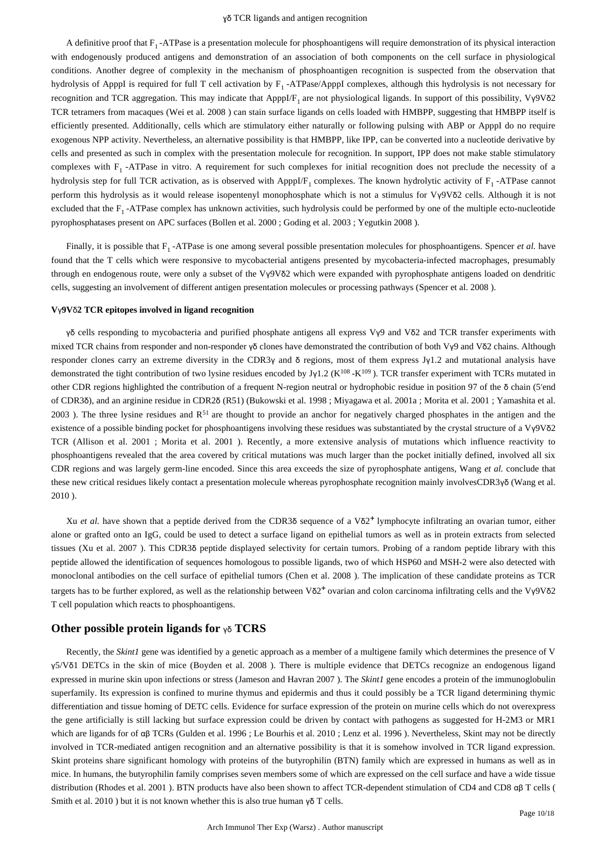A definitive proof that  $F_1$ -ATPase is a presentation molecule for phosphoantigens will require demonstration of its physical interaction with endogenously produced antigens and demonstration of an association of both components on the cell surface in physiological conditions. Another degree of complexity in the mechanism of phosphoantigen recognition is suspected from the observation that hydrolysis of ApppI is required for full T cell activation by  $F_1$ -ATPase/ApppI complexes, although this hydrolysis is not necessary for recognition and TCR aggregation. This may indicate that ApppI/F<sub>1</sub> are not physiological ligands. In support of this possibility, Vγ9Vδ2 TCR tetramers from macaques (Wei et al. 2008 ) can stain surface ligands on cells loaded with HMBPP, suggesting that HMBPP itself is efficiently presented. Additionally, cells which are stimulatory either naturally or following pulsing with ABP or ApppI do no require exogenous NPP activity. Nevertheless, an alternative possibility is that HMBPP, like IPP, can be converted into a nucleotide derivative by cells and presented as such in complex with the presentation molecule for recognition. In support, IPP does not make stable stimulatory complexes with  $F_1$  -ATPase in vitro. A requirement for such complexes for initial recognition does not preclude the necessity of a hydrolysis step for full TCR activation, as is observed with ApppI/F<sub>1</sub> complexes. The known hydrolytic activity of  $F_1$ -ATPase cannot perform this hydrolysis as it would release isopentenyl monophosphate which is not a stimulus for Vγ9Vδ2 cells. Although it is not excluded that the  $F_1$ -ATPase complex has unknown activities, such hydrolysis could be performed by one of the multiple ecto-nucleotide pyrophosphatases present on APC surfaces (Bollen et al. 2000 ; Goding et al. 2003 ; Yegutkin 2008 ).

Finally, it is possible that F<sub>1</sub>-ATPase is one among several possible presentation molecules for phosphoantigens. Spencer et al. have found that the T cells which were responsive to mycobacterial antigens presented by mycobacteria-infected macrophages, presumably through en endogenous route, were only a subset of the Vγ9Vδ2 which were expanded with pyrophosphate antigens loaded on dendritic cells, suggesting an involvement of different antigen presentation molecules or processing pathways (Spencer et al. 2008 ).

#### **V**γ**9V**δ**2 TCR epitopes involved in ligand recognition**

γδ cells responding to mycobacteria and purified phosphate antigens all express Vγ9 and Vδ2 and TCR transfer experiments with mixed TCR chains from responder and non-responder γδ clones have demonstrated the contribution of both Vγ9 and Vδ2 chains. Although responder clones carry an extreme diversity in the CDR3γ and δ regions, most of them express Jγ1.2 and mutational analysis have demonstrated the tight contribution of two lysine residues encoded by Jy1.2 (K<sup>108</sup> -K<sup>109</sup>). TCR transfer experiment with TCRs mutated in other CDR regions highlighted the contribution of a frequent N-region neutral or hydrophobic residue in position 97 of the δ chain (5′end of CDR3δ), and an arginine residue in CDR2δ (R51) (Bukowski et al. 1998 ; Miyagawa et al. 2001a ; Morita et al. 2001 ; Yamashita et al. 2003 ). The three lysine residues and  $R^{51}$  are thought to provide an anchor for negatively charged phosphates in the antigen and the existence of a possible binding pocket for phosphoantigens involving these residues was substantiated by the crystal structure of a Vγ9Vδ2 TCR (Allison et al. 2001 ; Morita et al. 2001 ). Recently, a more extensive analysis of mutations which influence reactivity to phosphoantigens revealed that the area covered by critical mutations was much larger than the pocket initially defined, involved all six CDR regions and was largely germ-line encoded. Since this area exceeds the size of pyrophosphate antigens, Wang *et al.* conclude that these new critical residues likely contact a presentation molecule whereas pyrophosphate recognition mainly involvesCDR3γδ (Wang et al. 2010 ).

Xu *et al.* have shown that a peptide derived from the CDR3δ sequence of a Vδ2<sup>+</sup> lymphocyte infiltrating an ovarian tumor, either alone or grafted onto an IgG, could be used to detect a surface ligand on epithelial tumors as well as in protein extracts from selected tissues (Xu et al. 2007 ). This CDR3δ peptide displayed selectivity for certain tumors. Probing of a random peptide library with this peptide allowed the identification of sequences homologous to possible ligands, two of which HSP60 and MSH-2 were also detected with monoclonal antibodies on the cell surface of epithelial tumors (Chen et al. 2008 ). The implication of these candidate proteins as TCR targets has to be further explored, as well as the relationship between  $V\delta 2^+$  ovarian and colon carcinoma infiltrating cells and the V $\gamma$ 9V $\delta$ 2 T cell population which reacts to phosphoantigens.

## **Other possible protein ligands for** γδ **TCRS**

Recently, the *Skint1* gene was identified by a genetic approach as a member of a multigene family which determines the presence of V γ5/Vδ1 DETCs in the skin of mice (Boyden et al. 2008 ). There is multiple evidence that DETCs recognize an endogenous ligand expressed in murine skin upon infections or stress (Jameson and Havran 2007 ). The *Skint1* gene encodes a protein of the immunoglobulin superfamily. Its expression is confined to murine thymus and epidermis and thus it could possibly be a TCR ligand determining thymic differentiation and tissue homing of DETC cells. Evidence for surface expression of the protein on murine cells which do not overexpress the gene artificially is still lacking but surface expression could be driven by contact with pathogens as suggested for H-2M3 or MR1 which are ligands for of αβ TCRs (Gulden et al. 1996; Le Bourhis et al. 2010; Lenz et al. 1996). Nevertheless, Skint may not be directly involved in TCR-mediated antigen recognition and an alternative possibility is that it is somehow involved in TCR ligand expression. Skint proteins share significant homology with proteins of the butyrophilin (BTN) family which are expressed in humans as well as in mice. In humans, the butyrophilin family comprises seven members some of which are expressed on the cell surface and have a wide tissue distribution (Rhodes et al. 2001 ). BTN products have also been shown to affect TCR-dependent stimulation of CD4 and CD8 αβ T cells ( Smith et al. 2010 ) but it is not known whether this is also true human  $\gamma \delta$  T cells.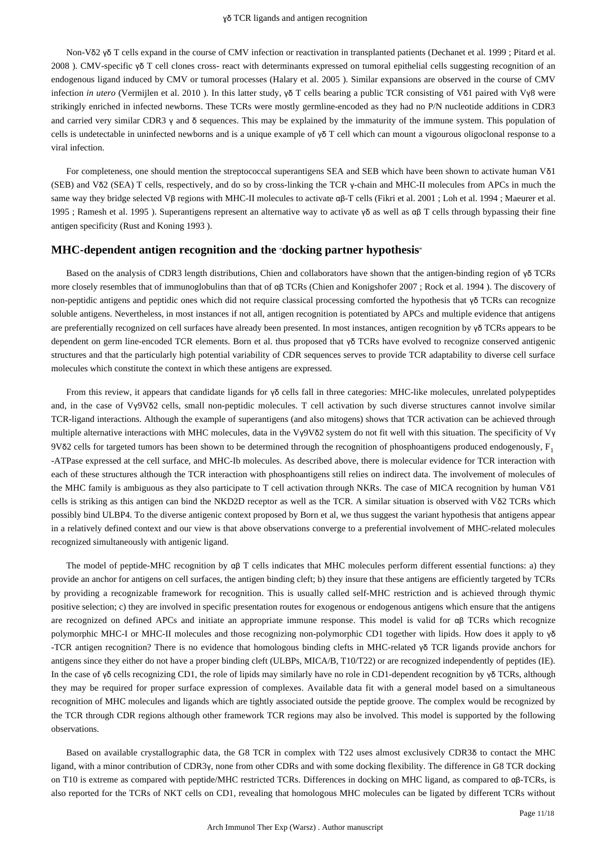Non-Vδ2 γδ T cells expand in the course of CMV infection or reactivation in transplanted patients (Dechanet et al. 1999 ; Pitard et al. 2008 ). CMV-specific γδ T cell clones cross- react with determinants expressed on tumoral epithelial cells suggesting recognition of an endogenous ligand induced by CMV or tumoral processes (Halary et al. 2005 ). Similar expansions are observed in the course of CMV infection *in utero* (Vermijlen et al. 2010 ). In this latter study, γδ T cells bearing a public TCR consisting of Vδ1 paired with Vγ8 were strikingly enriched in infected newborns. These TCRs were mostly germline-encoded as they had no P/N nucleotide additions in CDR3 and carried very similar CDR3 γ and δ sequences. This may be explained by the immaturity of the immune system. This population of cells is undetectable in uninfected newborns and is a unique example of γδ T cell which can mount a vigourous oligoclonal response to a viral infection.

For completeness, one should mention the streptococcal superantigens SEA and SEB which have been shown to activate human Vδ1 (SEB) and Vδ2 (SEA) T cells, respectively, and do so by cross-linking the TCR γ-chain and MHC-II molecules from APCs in much the same way they bridge selected Vβ regions with MHC-II molecules to activate αβ-T cells (Fikri et al. 2001 ; Loh et al. 1994 ; Maeurer et al. 1995 ; Ramesh et al. 1995 ). Superantigens represent an alternative way to activate γδ as well as αβ T cells through bypassing their fine antigen specificity (Rust and Koning 1993 ).

## **MHC-dependent antigen recognition and the** "**docking partner hypothesis**"

Based on the analysis of CDR3 length distributions, Chien and collaborators have shown that the antigen-binding region of γδ TCRs more closely resembles that of immunoglobulins than that of αβ TCRs (Chien and Konigshofer 2007 ; Rock et al. 1994 ). The discovery of non-peptidic antigens and peptidic ones which did not require classical processing comforted the hypothesis that γδ TCRs can recognize soluble antigens. Nevertheless, in most instances if not all, antigen recognition is potentiated by APCs and multiple evidence that antigens are preferentially recognized on cell surfaces have already been presented. In most instances, antigen recognition by γδ TCRs appears to be dependent on germ line-encoded TCR elements. Born et al. thus proposed that γδ TCRs have evolved to recognize conserved antigenic structures and that the particularly high potential variability of CDR sequences serves to provide TCR adaptability to diverse cell surface molecules which constitute the context in which these antigens are expressed.

From this review, it appears that candidate ligands for γδ cells fall in three categories: MHC-like molecules, unrelated polypeptides and, in the case of Vγ9Vδ2 cells, small non-peptidic molecules. T cell activation by such diverse structures cannot involve similar TCR-ligand interactions. Although the example of superantigens (and also mitogens) shows that TCR activation can be achieved through multiple alternative interactions with MHC molecules, data in the Vγ9Vδ2 system do not fit well with this situation. The specificity of Vγ 9Vδ2 cells for targeted tumors has been shown to be determined through the recognition of phosphoantigens produced endogenously,  $F_1$ -ATPase expressed at the cell surface, and MHC-Ib molecules. As described above, there is molecular evidence for TCR interaction with each of these structures although the TCR interaction with phosphoantigens still relies on indirect data. The involvement of molecules of the MHC family is ambiguous as they also participate to T cell activation through NKRs. The case of MICA recognition by human Vδ1 cells is striking as this antigen can bind the NKD2D receptor as well as the TCR. A similar situation is observed with Vδ2 TCRs which possibly bind ULBP4. To the diverse antigenic context proposed by Born et al, we thus suggest the variant hypothesis that antigens appear in a relatively defined context and our view is that above observations converge to a preferential involvement of MHC-related molecules recognized simultaneously with antigenic ligand.

The model of peptide-MHC recognition by αβ T cells indicates that MHC molecules perform different essential functions: a) they provide an anchor for antigens on cell surfaces, the antigen binding cleft; b) they insure that these antigens are efficiently targeted by TCRs by providing a recognizable framework for recognition. This is usually called self-MHC restriction and is achieved through thymic positive selection; c) they are involved in specific presentation routes for exogenous or endogenous antigens which ensure that the antigens are recognized on defined APCs and initiate an appropriate immune response. This model is valid for αβ TCRs which recognize polymorphic MHC-I or MHC-II molecules and those recognizing non-polymorphic CD1 together with lipids. How does it apply to γδ -TCR antigen recognition? There is no evidence that homologous binding clefts in MHC-related γδ TCR ligands provide anchors for antigens since they either do not have a proper binding cleft (ULBPs, MICA/B, T10/T22) or are recognized independently of peptides (IE). In the case of γδ cells recognizing CD1, the role of lipids may similarly have no role in CD1-dependent recognition by γδ TCRs, although they may be required for proper surface expression of complexes. Available data fit with a general model based on a simultaneous recognition of MHC molecules and ligands which are tightly associated outside the peptide groove. The complex would be recognized by the TCR through CDR regions although other framework TCR regions may also be involved. This model is supported by the following observations.

Based on available crystallographic data, the G8 TCR in complex with T22 uses almost exclusively CDR3δ to contact the MHC ligand, with a minor contribution of CDR3γ, none from other CDRs and with some docking flexibility. The difference in G8 TCR docking on T10 is extreme as compared with peptide/MHC restricted TCRs. Differences in docking on MHC ligand, as compared to αβ-TCRs, is also reported for the TCRs of NKT cells on CD1, revealing that homologous MHC molecules can be ligated by different TCRs without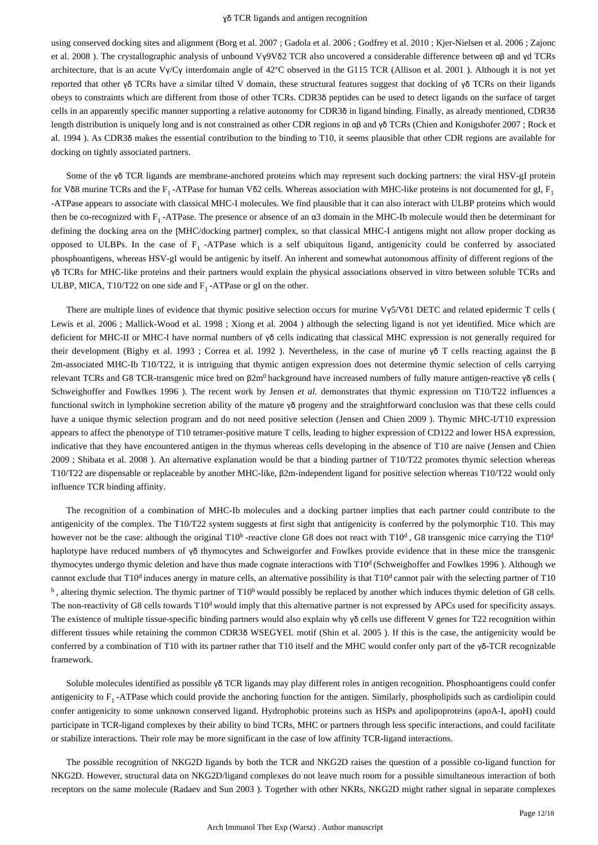using conserved docking sites and alignment (Borg et al. 2007 ; Gadola et al. 2006 ; Godfrey et al. 2010 ; Kjer-Nielsen et al. 2006 ; Zajonc et al. 2008 ). The crystallographic analysis of unbound Vγ9Vδ2 TCR also uncovered a considerable difference between αβ and γd TCRs architecture, that is an acute Vγ/Cγ interdomain angle of 42°C observed in the G115 TCR (Allison et al. 2001 ). Although it is not yet reported that other γδ TCRs have a similar tilted V domain, these structural features suggest that docking of γδ TCRs on their ligands obeys to constraints which are different from those of other TCRs. CDR3δ peptides can be used to detect ligands on the surface of target cells in an apparently specific manner supporting a relative autonomy for CDR3δ in ligand binding. Finally, as already mentioned, CDR3δ length distribution is uniquely long and is not constrained as other CDR regions in αβ and γδ TCRs (Chien and Konigshofer 2007 ; Rock et al. 1994 ). As CDR3δ makes the essential contribution to the binding to T10, it seems plausible that other CDR regions are available for docking on tightly associated partners.

Some of the γδ TCR ligands are membrane-anchored proteins which may represent such docking partners: the viral HSV-gI protein for Vδ8 murine TCRs and the F<sub>1</sub>-ATPase for human Vδ2 cells. Whereas association with MHC-like proteins is not documented for gI, F<sub>1</sub> -ATPase appears to associate with classical MHC-I molecules. We find plausible that it can also interact with ULBP proteins which would then be co-recognized with  $F_1$ -ATPase. The presence or absence of an α3 domain in the MHC-Ib molecule would then be determinant for defining the docking area on the [MHC/docking partner] complex, so that classical MHC-I antigens might not allow proper docking as opposed to ULBPs. In the case of  $F_1$ -ATPase which is a self ubiquitous ligand, antigenicity could be conferred by associated phosphoantigens, whereas HSV-gI would be antigenic by itself. An inherent and somewhat autonomous affinity of different regions of the γδ TCRs for MHC-like proteins and their partners would explain the physical associations observed in vitro between soluble TCRs and ULBP, MICA, T10/T22 on one side and  $F_1$ -ATPase or gI on the other.

There are multiple lines of evidence that thymic positive selection occurs for murine Vγ5/Vδ1 DETC and related epidermic T cells ( Lewis et al. 2006 ; Mallick-Wood et al. 1998 ; Xiong et al. 2004 ) although the selecting ligand is not yet identified. Mice which are deficient for MHC-II or MHC-I have normal numbers of γδ cells indicating that classical MHC expression is not generally required for their development (Bigby et al. 1993 ; Correa et al. 1992 ). Nevertheless, in the case of murine γδ T cells reacting against the β 2m-associated MHC-Ib T10/T22, it is intriguing that thymic antigen expression does not determine thymic selection of cells carrying relevant TCRs and G8 TCR-transgenic mice bred on β2m<sup>0</sup> background have increased numbers of fully mature antigen-reactive γδ cells ( Schweighoffer and Fowlkes 1996 ). The recent work by Jensen *et al.* demonstrates that thymic expression on T10/T22 influences a functional switch in lymphokine secretion ability of the mature γδ progeny and the straightforward conclusion was that these cells could have a unique thymic selection program and do not need positive selection (Jensen and Chien 2009). Thymic MHC-I/T10 expression appears to affect the phenotype of T10 tetramer-positive mature T cells, leading to higher expression of CD122 and lower HSA expression, indicative that they have encountered antigen in the thymus whereas cells developing in the absence of T10 are naive (Jensen and Chien 2009 ; Shibata et al. 2008 ). An alternative explanation would be that a binding partner of T10/T22 promotes thymic selection whereas T10/T22 are dispensable or replaceable by another MHC-like, β2m-independent ligand for positive selection whereas T10/T22 would only influence TCR binding affinity.

The recognition of a combination of MHC-Ib molecules and a docking partner implies that each partner could contribute to the antigenicity of the complex. The T10/T22 system suggests at first sight that antigenicity is conferred by the polymorphic T10. This may however not be the case: although the original  $T10^b$ -reactive clone G8 does not react with  $T10^d$ , G8 transgenic mice carrying the  $T10^d$ haplotype have reduced numbers of γδ thymocytes and Schweigorfer and Fowlkes provide evidence that in these mice the transgenic thymocytes undergo thymic deletion and have thus made cognate interactions with T10<sup>d</sup> (Schweighoffer and Fowlkes 1996). Although we cannot exclude that  $T10<sup>d</sup>$  induces anergy in mature cells, an alternative possibility is that  $T10<sup>d</sup>$  cannot pair with the selecting partner of T10  $<sup>b</sup>$ , altering thymic selection. The thymic partner of T10<sup>b</sup> would possibly be replaced by another which induces thymic deletion of G8 cells.</sup> The non-reactivity of G8 cells towards  $T10<sup>d</sup>$  would imply that this alternative partner is not expressed by APCs used for specificity assays. The existence of multiple tissue-specific binding partners would also explain why γδ cells use different V genes for T22 recognition within different tissues while retaining the common CDR3δ WSEGYEL motif (Shin et al. 2005). If this is the case, the antigenicity would be conferred by a combination of T10 with its partner rather that T10 itself and the MHC would confer only part of the γδ-TCR recognizable framework.

Soluble molecules identified as possible γδ TCR ligands may play different roles in antigen recognition. Phosphoantigens could confer antigenicity to  $F_1$ -ATPase which could provide the anchoring function for the antigen. Similarly, phospholipids such as cardiolipin could confer antigenicity to some unknown conserved ligand. Hydrophobic proteins such as HSPs and apolipoproteins (apoA-I, apoH) could participate in TCR-ligand complexes by their ability to bind TCRs, MHC or partners through less specific interactions, and could facilitate or stabilize interactions. Their role may be more significant in the case of low affinity TCR-ligand interactions.

The possible recognition of NKG2D ligands by both the TCR and NKG2D raises the question of a possible co-ligand function for NKG2D. However, structural data on NKG2D/ligand complexes do not leave much room for a possible simultaneous interaction of both receptors on the same molecule (Radaev and Sun 2003 ). Together with other NKRs, NKG2D might rather signal in separate complexes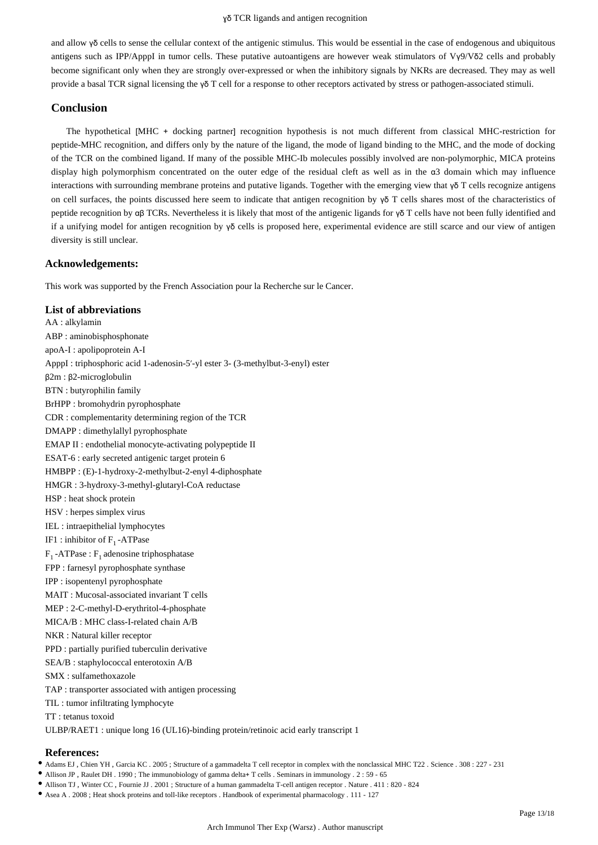and allow γδ cells to sense the cellular context of the antigenic stimulus. This would be essential in the case of endogenous and ubiquitous antigens such as IPP/ApppI in tumor cells. These putative autoantigens are however weak stimulators of Vγ9/Vδ2 cells and probably become significant only when they are strongly over-expressed or when the inhibitory signals by NKRs are decreased. They may as well provide a basal TCR signal licensing the γδ T cell for a response to other receptors activated by stress or pathogen-associated stimuli.

## **Conclusion**

The hypothetical [MHC + docking partner] recognition hypothesis is not much different from classical MHC-restriction for peptide-MHC recognition, and differs only by the nature of the ligand, the mode of ligand binding to the MHC, and the mode of docking of the TCR on the combined ligand. If many of the possible MHC-Ib molecules possibly involved are non-polymorphic, MICA proteins display high polymorphism concentrated on the outer edge of the residual cleft as well as in the α3 domain which may influence interactions with surrounding membrane proteins and putative ligands. Together with the emerging view that γδ T cells recognize antigens on cell surfaces, the points discussed here seem to indicate that antigen recognition by  $\gamma \delta$  T cells shares most of the characteristics of peptide recognition by αβ TCRs. Nevertheless it is likely that most of the antigenic ligands for γδ T cells have not been fully identified and if a unifying model for antigen recognition by  $\gamma \delta$  cells is proposed here, experimental evidence are still scarce and our view of antigen diversity is still unclear.

## **Acknowledgements:**

This work was supported by the French Association pour la Recherche sur le Cancer.

## **List of abbreviations**

AA : alkylamin ABP : aminobisphosphonate apoA-I : apolipoprotein A-I ApppI : triphosphoric acid 1-adenosin-5′-yl ester 3- (3-methylbut-3-enyl) ester β2m : β2-microglobulin BTN : butyrophilin family BrHPP : bromohydrin pyrophosphate CDR : complementarity determining region of the TCR DMAPP : dimethylallyl pyrophosphate EMAP II : endothelial monocyte-activating polypeptide II ESAT-6 : early secreted antigenic target protein 6 HMBPP : (E)-1-hydroxy-2-methylbut-2-enyl 4-diphosphate HMGR : 3-hydroxy-3-methyl-glutaryl-CoA reductase HSP : heat shock protein HSV : herpes simplex virus IEL : intraepithelial lymphocytes IF1 : inhibitor of  $F_1$  -ATPase  $F_1$  -ATPase :  $F_1$  adenosine triphosphatase FPP : farnesyl pyrophosphate synthase IPP : isopentenyl pyrophosphate MAIT : Mucosal-associated invariant T cells MEP : 2-C-methyl-D-erythritol-4-phosphate MICA/B : MHC class-I-related chain A/B NKR : Natural killer receptor PPD : partially purified tuberculin derivative SEA/B : staphylococcal enterotoxin A/B SMX : sulfamethoxazole TAP : transporter associated with antigen processing TIL : tumor infiltrating lymphocyte TT : tetanus toxoid ULBP/RAET1 : unique long 16 (UL16)-binding protein/retinoic acid early transcript 1

## **References:**

- Adams EJ , Chien YH , Garcia KC . 2005 ; Structure of a gammadelta T cell receptor in complex with the nonclassical MHC T22 . Science . 308 : 227 231
- Allison JP , Raulet DH . 1990 ; The immunobiology of gamma delta+ T cells . Seminars in immunology . 2 : 59 65
- Allison TJ , Winter CC , Fournie JJ . 2001 ; Structure of a human gammadelta T-cell antigen receptor . Nature . 411 : 820 824
- Asea A . 2008 ; Heat shock proteins and toll-like receptors . Handbook of experimental pharmacology . 111 127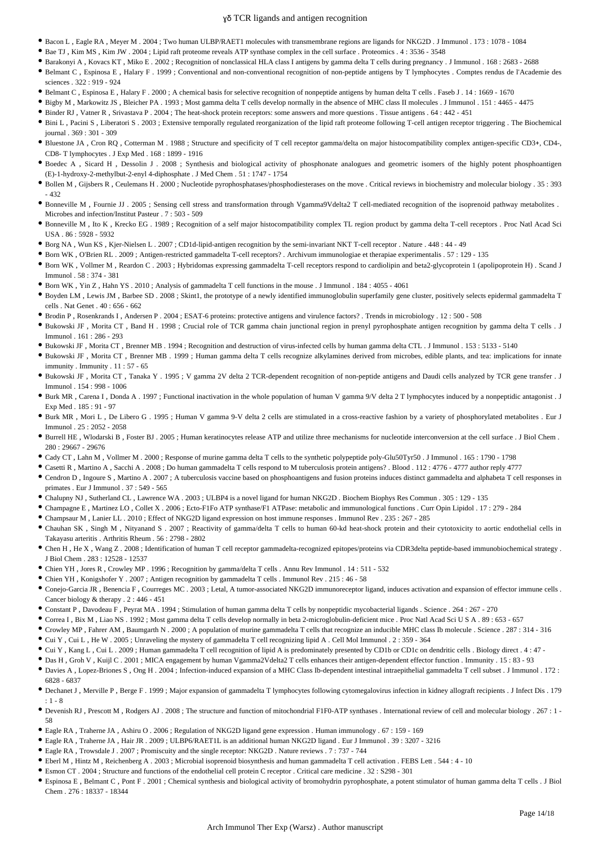- Bacon L , Eagle RA , Meyer M . 2004 ; Two human ULBP/RAET1 molecules with transmembrane regions are ligands for NKG2D . J Immunol . 173 : 1078 1084
- Bae TJ , Kim MS , Kim JW . 2004 ; Lipid raft proteome reveals ATP synthase complex in the cell surface . Proteomics . 4 : 3536 3548
- Barakonyi A , Kovacs KT , Miko E . 2002 ; Recognition of nonclassical HLA class I antigens by gamma delta T cells during pregnancy . J Immunol . 168 : 2683 2688
- Belmant C , Espinosa E , Halary F . 1999 ; Conventional and non-conventional recognition of non-peptide antigens by T lymphocytes . Comptes rendus de l'Academie des sciences . 322 : 919 - 924
- Belmant C , Espinosa E , Halary F . 2000 ; A chemical basis for selective recognition of nonpeptide antigens by human delta T cells . Faseb J . 14 : 1669 1670
- Bigby M , Markowitz JS , Bleicher PA . 1993 ; Most gamma delta T cells develop normally in the absence of MHC class II molecules . J Immunol . 151 : 4465 4475
- Binder RJ , Vatner R , Srivastava P . 2004 ; The heat-shock protein receptors: some answers and more questions . Tissue antigens . 64 : 442 451
- Bini L , Pacini S , Liberatori S . 2003 ; Extensive temporally regulated reorganization of the lipid raft proteome following T-cell antigen receptor triggering . The Biochemical  $journal$   $369 \cdot 301 - 309$
- Bluestone JA , Cron RQ , Cotterman M . 1988 ; Structure and specificity of T cell receptor gamma/delta on major histocompatibility complex antigen-specific CD3+, CD4-, CD8- T lymphocytes . J Exp Med . 168 : 1899 - 1916
- Boedec A, Sicard H, Dessolin J, 2008; Synthesis and biological activity of phosphonate analogues and geometric isomers of the highly potent phosphoantigen (E)-1-hydroxy-2-methylbut-2-enyl 4-diphosphate . J Med Chem . 51 : 1747 - 1754
- Bollen M , Gijsbers R , Ceulemans H . 2000 ; Nucleotide pyrophosphatases/phosphodiesterases on the move . Critical reviews in biochemistry and molecular biology . 35 : 393 - 432
- Bonneville M , Fournie JJ . 2005 ; Sensing cell stress and transformation through Vgamma9Vdelta2 T cell-mediated recognition of the isoprenoid pathway metabolites . Microbes and infection/Institut Pasteur . 7 : 503 - 509
- Bonneville M , Ito K , Krecko EG . 1989 ; Recognition of a self major histocompatibility complex TL region product by gamma delta T-cell receptors . Proc Natl Acad Sci USA . 86 : 5928 - 5932
- Borg NA , Wun KS , Kjer-Nielsen L . 2007 ; CD1d-lipid-antigen recognition by the semi-invariant NKT T-cell receptor . Nature . 448 : 44 49
- Born WK , O'Brien RL . 2009 ; Antigen-restricted gammadelta T-cell receptors? . Archivum immunologiae et therapiae experimentalis . 57 : 129 135
- Born WK , Vollmer M , Reardon C . 2003 ; Hybridomas expressing gammadelta T-cell receptors respond to cardiolipin and beta2-glycoprotein 1 (apolipoprotein H) . Scand J Immunol . 58 : 374 - 381
- Born WK , Yin Z , Hahn YS . 2010 ; Analysis of gammadelta T cell functions in the mouse . J Immunol . 184 : 4055 4061
- Boyden LM , Lewis JM , Barbee SD . 2008 ; Skint1, the prototype of a newly identified immunoglobulin superfamily gene cluster, positively selects epidermal gammadelta T cells . Nat Genet . 40 : 656 - 662
- Brodin P , Rosenkrands I , Andersen P . 2004 ; ESAT-6 proteins: protective antigens and virulence factors? . Trends in microbiology . 12 : 500 508
- Bukowski JF , Morita CT , Band H . 1998 ; Crucial role of TCR gamma chain junctional region in prenyl pyrophosphate antigen recognition by gamma delta T cells . J Immunol . 161 : 286 - 293
- Bukowski JF , Morita CT , Brenner MB . 1994 ; Recognition and destruction of virus-infected cells by human gamma delta CTL . J Immunol . 153 : 5133 5140
- Bukowski JF , Morita CT , Brenner MB . 1999 ; Human gamma delta T cells recognize alkylamines derived from microbes, edible plants, and tea: implications for innate immunity . Immunity . 11 : 57 - 65
- Bukowski JF , Morita CT , Tanaka Y . 1995 ; V gamma 2V delta 2 TCR-dependent recognition of non-peptide antigens and Daudi cells analyzed by TCR gene transfer . J Immunol . 154 : 998 - 1006
- Burk MR , Carena I , Donda A . 1997 ; Functional inactivation in the whole population of human V gamma 9/V delta 2 T lymphocytes induced by a nonpeptidic antagonist . J Exp Med . 185 : 91 - 97
- Burk MR, Mori L, De Libero G. 1995; Human V gamma 9-V delta 2 cells are stimulated in a cross-reactive fashion by a variety of phosphorylated metabolites. Eur J Immunol . 25 : 2052 - 2058
- Burrell HE , Wlodarski B , Foster BJ . 2005 ; Human keratinocytes release ATP and utilize three mechanisms for nucleotide interconversion at the cell surface . J Biol Chem . 280 : 29667 - 29676
- Cady CT , Lahn M , Vollmer M . 2000 ; Response of murine gamma delta T cells to the synthetic polypeptide poly-Glu50Tyr50 . J Immunol . 165 : 1790 1798
- Casetti R, Martino A, Sacchi A. 2008; Do human gammadelta T cells respond to M tuberculosis protein antigens? . Blood . 112: 4776 4777 author reply 4777
- Cendron D , Ingoure S , Martino A . 2007 ; A tuberculosis vaccine based on phosphoantigens and fusion proteins induces distinct gammadelta and alphabeta T cell responses in primates . Eur J Immunol . 37 : 549 - 565
- Chalupny NJ , Sutherland CL , Lawrence WA . 2003 ; ULBP4 is a novel ligand for human NKG2D . Biochem Biophys Res Commun . 305 : 129 135
- Champagne E , Martinez LO , Collet X . 2006 ; Ecto-F1Fo ATP synthase/F1 ATPase: metabolic and immunological functions . Curr Opin Lipidol . 17 : 279 284
- Champsaur M , Lanier LL . 2010 ; Effect of NKG2D ligand expression on host immune responses . Immunol Rev . 235 : 267 285
- Chauhan SK , Singh M , Nityanand S . 2007 ; Reactivity of gamma/delta T cells to human 60-kd heat-shock protein and their cytotoxicity to aortic endothelial cells in Takayasu arteritis . Arthritis Rheum . 56 : 2798 - 2802
- Chen H , He X , Wang Z . 2008 ; Identification of human T cell receptor gammadelta-recognized epitopes/proteins via CDR3delta peptide-based immunobiochemical strategy . J Biol Chem . 283 : 12528 - 12537
- Chien YH , Jores R , Crowley MP . 1996 ; Recognition by gamma/delta T cells . Annu Rev Immunol . 14 : 511 532
- Chien YH , Konigshofer Y . 2007 ; Antigen recognition by gammadelta T cells . Immunol Rev . 215 : 46 58
- Conejo-Garcia JR , Benencia F , Courreges MC . 2003 ; Letal, A tumor-associated NKG2D immunoreceptor ligand, induces activation and expansion of effector immune cells . Cancer biology & therapy . 2 : 446 - 451
- Constant P , Davodeau F , Peyrat MA . 1994 ; Stimulation of human gamma delta T cells by nonpeptidic mycobacterial ligands . Science . 264 : 267 270
- Correa I , Bix M , Liao NS . 1992 ; Most gamma delta T cells develop normally in beta 2-microglobulin-deficient mice . Proc Natl Acad Sci U S A . 89 : 653 657
- Crowley MP , Fahrer AM , Baumgarth N . 2000 ; A population of murine gammadelta T cells that recognize an inducible MHC class Ib molecule . Science . 287 : 314 316
- Cui Y , Cui L , He W . 2005 ; Unraveling the mystery of gammadelta T cell recognizing lipid A . Cell Mol Immunol . 2 : 359 364
- Cui Y , Kang L , Cui L . 2009 ; Human gammadelta T cell recognition of lipid A is predominately presented by CD1b or CD1c on dendritic cells . Biology direct . 4 : 47 -
- Das H , Groh V , Kuijl C . 2001 ; MICA engagement by human Vgamma2Vdelta2 T cells enhances their antigen-dependent effector function . Immunity . 15 : 83 93
- Davies A , Lopez-Briones S , Ong H . 2004 ; Infection-induced expansion of a MHC Class Ib-dependent intestinal intraepithelial gammadelta T cell subset . J Immunol . 172 : 6828 - 6837
- Dechanet J , Merville P , Berge F . 1999 ; Major expansion of gammadelta T lymphocytes following cytomegalovirus infection in kidney allograft recipients . J Infect Dis . 179  $\cdot$  1 - 8
- Devenish RJ , Prescott M , Rodgers AJ . 2008 ; The structure and function of mitochondrial F1F0-ATP synthases . International review of cell and molecular biology . 267 : 1 58
- Eagle RA , Traherne JA , Ashiru O . 2006 ; Regulation of NKG2D ligand gene expression . Human immunology . 67 : 159 169
- Eagle RA , Traherne JA , Hair JR . 2009 ; ULBP6/RAET1L is an additional human NKG2D ligand . Eur J Immunol . 39 : 3207 3216
- Eagle RA , Trowsdale J . 2007 ; Promiscuity and the single receptor: NKG2D . Nature reviews . 7 : 737 744
- Eberl M , Hintz M , Reichenberg A . 2003 ; Microbial isoprenoid biosynthesis and human gammadelta T cell activation . FEBS Lett . 544 : 4 10
- Esmon CT . 2004 ; Structure and functions of the endothelial cell protein C receptor . Critical care medicine . 32 : S298 301
- Espinosa E , Belmant C , Pont F . 2001 ; Chemical synthesis and biological activity of bromohydrin pyrophosphate, a potent stimulator of human gamma delta T cells . J Biol Chem . 276 : 18337 - 18344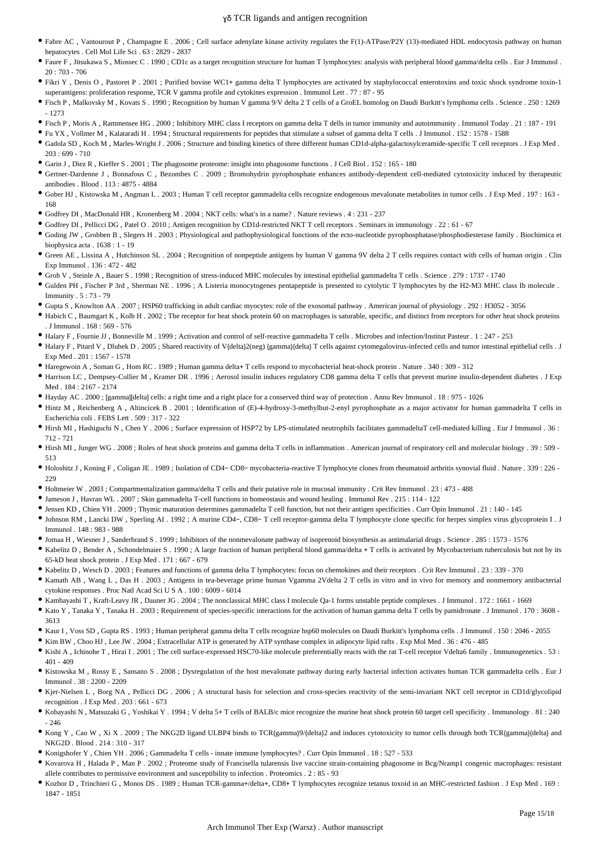- Fabre AC , Vantourout P , Champagne E . 2006 ; Cell surface adenylate kinase activity regulates the F(1)-ATPase/P2Y (13)-mediated HDL endocytosis pathway on human hepatocytes . Cell Mol Life Sci . 63 : 2829 - 2837
- Faure F , Jitsukawa S , Miossec C . 1990 ; CD1c as a target recognition structure for human T lymphocytes: analysis with peripheral blood gamma/delta cells . Eur J Immunol .  $20 \cdot 703 - 706$
- Fikri Y , Denis O , Pastoret P . 2001 ; Purified bovine WC1+ gamma delta T lymphocytes are activated by staphylococcal enterotoxins and toxic shock syndrome toxin-1 superantigens: proliferation response, TCR V gamma profile and cytokines expression . Immunol Lett . 77 : 87 - 95
- Fisch P , Malkovsky M , Kovats S . 1990 ; Recognition by human V gamma 9/V delta 2 T cells of a GroEL homolog on Daudi Burkitt's lymphoma cells . Science . 250 : 1269 - 1273
- Fisch P , Moris A , Rammensee HG . 2000 ; Inhibitory MHC class I receptors on gamma delta T dells in tumor immunity and autoimmunity . Immunol Today . 21 : 187 191
- Fu YX , Vollmer M , Kalataradi H . 1994 ; Structural requirements for peptides that stimulate a subset of gamma delta T cells . J Immunol . 152 : 1578 1588
- Gadola SD , Koch M , Marles-Wright J . 2006 ; Structure and binding kinetics of three different human CD1d-alpha-galactosylceramide-specific T cell receptors . J Exp Med .  $203 \cdot 699 - 710$
- Garin J, Diez R, Kieffer S, 2001; The phagosome proteome: insight into phagosome functions . J Cell Biol . 152 : 165 180
- Gertner-Dardenne J , Bonnafous C , Bezombes C . 2009 ; Bromohydrin pyrophosphate enhances antibody-dependent cell-mediated cytotoxicity induced by therapeutic antibodies . Blood . 113 : 4875 - 4884
- Gober HJ , Kistowska M , Angman L . 2003 ; Human T cell receptor gammadelta cells recognize endogenous mevalonate metabolites in tumor cells . J Exp Med . 197 : 163 168
- Godfrey DI , MacDonald HR , Kronenberg M . 2004 ; NKT cells: what's in a name? . Nature reviews . 4 : 231 237
- Godfrey DI , Pellicci DG , Patel O . 2010 ; Antigen recognition by CD1d-restricted NKT T cell receptors . Seminars in immunology . 22 : 61 67
- Goding JW , Grobben B , Slegers H . 2003 ; Physiological and pathophysiological functions of the ecto-nucleotide pyrophosphatase/phosphodiesterase family . Biochimica et biophysica acta . 1638 : 1 - 19
- Green AE , Lissina A , Hutchinson SL . 2004 ; Recognition of nonpeptide antigens by human V gamma 9V delta 2 T cells requires contact with cells of human origin . Clin Exp Immunol . 136 : 472 - 482
- Groh V , Steinle A , Bauer S . 1998 ; Recognition of stress-induced MHC molecules by intestinal epithelial gammadelta T cells . Science . 279 : 1737 1740
- Gulden PH , Fischer P 3rd , Sherman NE . 1996 ; A Listeria monocytogenes pentapeptide is presented to cytolytic T lymphocytes by the H2-M3 MHC class Ib molecule . Immunity . 5 : 73 - 79
- Gupta S , Knowlton AA . 2007 ; HSP60 trafficking in adult cardiac myocytes: role of the exosomal pathway . American journal of physiology . 292 : H3052 3056
- Habich C , Baumgart K , Kolb H . 2002 ; The receptor for heat shock protein 60 on macrophages is saturable, specific, and distinct from receptors for other heat shock proteins . J Immunol . 168 : 569 - 576
- Halary F , Fournie JJ , Bonneville M . 1999 ; Activation and control of self-reactive gammadelta T cells . Microbes and infection/Institut Pasteur . 1 : 247 253
- Halary F , Pitard V , Dlubek D . 2005 ; Shared reactivity of V{delta}2(neg) {gamma}{delta} T cells against cytomegalovirus-infected cells and tumor intestinal epithelial cells . J Exp Med . 201 : 1567 - 1578
- Haregewoin A , Soman G , Hom RC . 1989 ; Human gamma delta+ T cells respond to mycobacterial heat-shock protein . Nature . 340 : 309 312
- Harrison LC , Dempsey-Collier M , Kramer DR . 1996 ; Aerosol insulin induces regulatory CD8 gamma delta T cells that prevent murine insulin-dependent diabetes . J Exp Med . 184 : 2167 - 2174
- Hayday AC . 2000 ; [gamma][delta] cells: a right time and a right place for a conserved third way of protection . Annu Rev Immunol . 18 : 975 1026
- Hintz M , Reichenberg A , Altincicek B . 2001 ; Identification of (E)-4-hydroxy-3-methylbut-2-enyl pyrophosphate as a major activator for human gammadelta T cells in Escherichia coli . FEBS Lett . 509 : 317 - 322
- Hirsh MI , Hashiguchi N , Chen Y . 2006 ; Surface expression of HSP72 by LPS-stimulated neutrophils facilitates gammadeltaT cell-mediated killing . Eur J Immunol . 36 : 712 - 721
- Hirsh MI , Junger WG . 2008 ; Roles of heat shock proteins and gamma delta T cells in inflammation . American journal of respiratory cell and molecular biology . 39 : 509 513
- Holoshitz J , Koning F , Coligan JE . 1989 ; Isolation of CD4− CD8− mycobacteria-reactive T lymphocyte clones from rheumatoid arthritis synovial fluid . Nature . 339 : 226 229
- Holtmeier W . 2003 ; Compartmentalization gamma/delta T cells and their putative role in mucosal immunity . Crit Rev Immunol . 23 : 473 488
- Jameson J , Havran WL . 2007 ; Skin gammadelta T-cell functions in homeostasis and wound healing . Immunol Rev . 215 : 114 122
- Jensen KD , Chien YH . 2009 ; Thymic maturation determines gammadelta T cell function, but not their antigen specificities . Curr Opin Immunol . 21 : 140 145
- Johnson RM , Lancki DW , Sperling AI . 1992 ; A murine CD4−, CD8− T cell receptor-gamma delta T lymphocyte clone specific for herpes simplex virus glycoprotein I . J Immunol . 148 : 983 - 988
- Jomaa H , Wiesner J , Sanderbrand S . 1999 ; Inhibitors of the nonmevalonate pathway of isoprenoid biosynthesis as antimalarial drugs . Science . 285 : 1573 1576
- Kabelitz D , Bender A , Schondelmaier S . 1990 ; A large fraction of human peripheral blood gamma/delta + T cells is activated by Mycobacterium tuberculosis but not by its 65-kD heat shock protein . J Exp Med . 171 : 667 - 679
- Kabelitz D , Wesch D . 2003 ; Features and functions of gamma delta T lymphocytes: focus on chemokines and their receptors . Crit Rev Immunol . 23 : 339 370
- Kamath AB , Wang L , Das H . 2003 ; Antigens in tea-beverage prime human Vgamma 2Vdelta 2 T cells in vitro and in vivo for memory and nonmemory antibacterial cytokine responses . Proc Natl Acad Sci U S A . 100 : 6009 - 6014
- Kambayashi T , Kraft-Leavy JR , Dauner JG . 2004 ; The nonclassical MHC class I molecule Qa-1 forms unstable peptide complexes . J Immunol . 172 : 1661 1669
- \* Kato Y , Tanaka Y , Tanaka H . 2003 ; Requirement of species-specific interactions for the activation of human gamma delta T cells by pamidronate . J Immunol . 170 : 3608 -3613
- Kaur I , Voss SD , Gupta RS . 1993 ; Human peripheral gamma delta T cells recognize hsp60 molecules on Daudi Burkitt's lymphoma cells . J Immunol . 150 : 2046 2055
- Kim BW, Choo HJ, Lee JW. 2004; Extracellular ATP is generated by ATP synthase complex in adipocyte lipid rafts. Exp Mol Med. 36:476 485
- Kishi A , Ichinohe T , Hirai I . 2001 ; The cell surface-expressed HSC70-like molecule preferentially reacts with the rat T-cell receptor Vdelta6 family . Immunogenetics . 53 : 401 - 409
- Kistowska M , Rossy E , Sansano S . 2008 ; Dysregulation of the host mevalonate pathway during early bacterial infection activates human TCR gammadelta cells . Eur J Immunol . 38 : 2200 - 2209
- Kjer-Nielsen L , Borg NA , Pellicci DG . 2006 ; A structural basis for selection and cross-species reactivity of the semi-invariant NKT cell receptor in CD1d/glycolipid recognition . J Exp Med . 203 : 661 - 673
- Kobayashi N , Matsuzaki G , Yoshikai Y . 1994 ; V delta 5+ T cells of BALB/c mice recognize the murine heat shock protein 60 target cell specificity . Immunology . 81 : 240 - 246
- Kong Y , Cao W , Xi X . 2009 ; The NKG2D ligand ULBP4 binds to TCR{gamma}9/{delta}2 and induces cytotoxicity to tumor cells through both TCR{gamma}{delta} and NKG2D . Blood . 214 : 310 - 317
- Konigshofer Y , Chien YH . 2006 ; Gammadelta T cells innate immune lymphocytes? . Curr Opin Immunol . 18 : 527 533
- Kovarova H , Halada P , Man P . 2002 ; Proteome study of Francisella tularensis live vaccine strain-containing phagosome in Bcg/Nramp1 congenic macrophages: resistant allele contributes to permissive environment and susceptibility to infection . Proteomics . 2 : 85 - 93
- Kozbor D , Trinchieri G , Monos DS . 1989 ; Human TCR-gamma+/delta+, CD8+ T lymphocytes recognize tetanus toxoid in an MHC-restricted fashion . J Exp Med . 169 : 1847 - 1851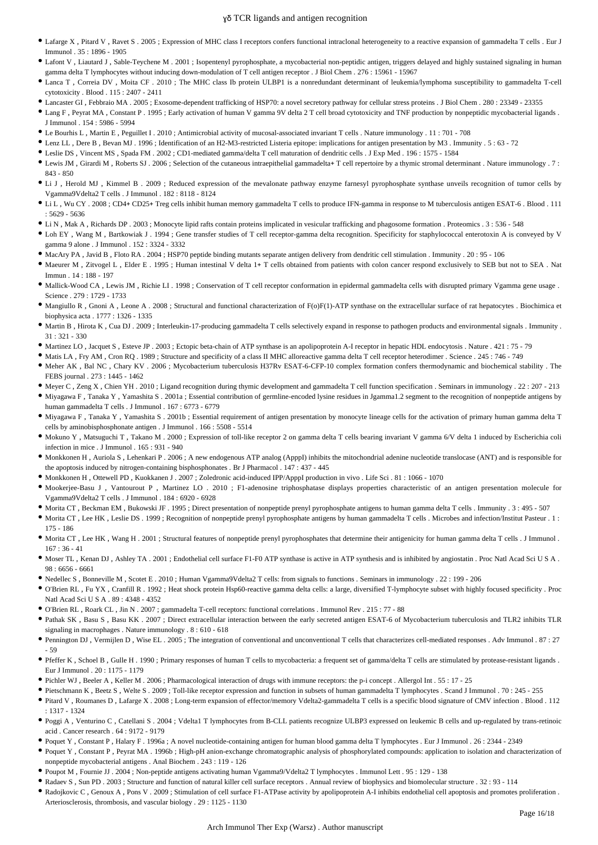- Lafarge X , Pitard V , Ravet S . 2005 ; Expression of MHC class I receptors confers functional intraclonal heterogeneity to a reactive expansion of gammadelta T cells . Eur J Immunol . 35 : 1896 - 1905
- Lafont V , Liautard J , Sable-Teychene M . 2001 ; Isopentenyl pyrophosphate, a mycobacterial non-peptidic antigen, triggers delayed and highly sustained signaling in human gamma delta T lymphocytes without inducing down-modulation of T cell antigen receptor . J Biol Chem . 276 : 15961 - 15967
- Lanca T , Correia DV , Moita CF . 2010 ; The MHC class Ib protein ULBP1 is a nonredundant determinant of leukemia/lymphoma susceptibility to gammadelta T-cell cytotoxicity . Blood . 115 : 2407 - 2411
- Lancaster GI , Febbraio MA . 2005 ; Exosome-dependent trafficking of HSP70: a novel secretory pathway for cellular stress proteins . J Biol Chem . 280 : 23349 23355
- Lang F , Peyrat MA , Constant P . 1995 ; Early activation of human V gamma 9V delta 2 T cell broad cytotoxicity and TNF production by nonpeptidic mycobacterial ligands . J Immunol . 154 : 5986 - 5994
- Le Bourhis L , Martin E , Peguillet I . 2010 ; Antimicrobial activity of mucosal-associated invariant T cells . Nature immunology . 11 : 701 708
- Lenz LL , Dere B , Bevan MJ . 1996 ; Identification of an H2-M3-restricted Listeria epitope: implications for antigen presentation by M3 . Immunity . 5 : 63 72
- Leslie DS , Vincent MS , Spada FM . 2002 ; CD1-mediated gamma/delta T cell maturation of dendritic cells . J Exp Med . 196 : 1575 1584
- Lewis JM , Girardi M , Roberts SJ . 2006 ; Selection of the cutaneous intraepithelial gammadelta+ T cell repertoire by a thymic stromal determinant . Nature immunology . 7 : 843 - 850
- Li J , Herold MJ , Kimmel B . 2009 ; Reduced expression of the mevalonate pathway enzyme farnesyl pyrophosphate synthase unveils recognition of tumor cells by Vgamma9Vdelta2 T cells . J Immunol . 182 : 8118 - 8124
- Li L , Wu CY . 2008 ; CD4+ CD25+ Treg cells inhibit human memory gammadelta T cells to produce IFN-gamma in response to M tuberculosis antigen ESAT-6 . Blood . 111 : 5629 - 5636
- Li N , Mak A , Richards DP . 2003 ; Monocyte lipid rafts contain proteins implicated in vesicular trafficking and phagosome formation . Proteomics . 3 : 536 548
- Loh EY , Wang M , Bartkowiak J . 1994 ; Gene transfer studies of T cell receptor-gamma delta recognition. Specificity for staphylococcal enterotoxin A is conveyed by V gamma 9 alone . J Immunol . 152 : 3324 - 3332
- MacAry PA , Javid B , Floto RA . 2004 ; HSP70 peptide binding mutants separate antigen delivery from dendritic cell stimulation . Immunity . 20 : 95 106
- Maeurer M, Zitvogel L, Elder E. 1995; Human intestinal V delta 1+ T cells obtained from patients with colon cancer respond exclusively to SEB but not to SEA. Nat Immun . 14 : 188 - 197
- Mallick-Wood CA , Lewis JM , Richie LI . 1998 ; Conservation of T cell receptor conformation in epidermal gammadelta cells with disrupted primary Vgamma gene usage . Science . 279 : 1729 - 1733
- Mangiullo R , Gnoni A , Leone A . 2008 ; Structural and functional characterization of F(o)F(1)-ATP synthase on the extracellular surface of rat hepatocytes . Biochimica et biophysica acta . 1777 : 1326 - 1335
- Martin B , Hirota K , Cua DJ . 2009 ; Interleukin-17-producing gammadelta T cells selectively expand in response to pathogen products and environmental signals . Immunity . 31 : 321 - 330
- Martinez LO , Jacquet S , Esteve JP . 2003 ; Ectopic beta-chain of ATP synthase is an apolipoprotein A-I receptor in hepatic HDL endocytosis . Nature . 421 : 75 79
- Matis LA , Fry AM , Cron RQ . 1989 ; Structure and specificity of a class II MHC alloreactive gamma delta T cell receptor heterodimer . Science . 245 : 746 749
- Meher AK , Bal NC , Chary KV . 2006 ; Mycobacterium tuberculosis H37Rv ESAT-6-CFP-10 complex formation confers thermodynamic and biochemical stability . The FEBS journal . 273 : 1445 - 1462
- $\bullet$  Meyer C, Zeng X, Chien YH, 2010; Ligand recognition during thymic development and gammadelta T cell function specification. Seminars in immunology 22:207 213
- Miyagawa F , Tanaka Y , Yamashita S . 2001a ; Essential contribution of germline-encoded lysine residues in Jgamma1.2 segment to the recognition of nonpeptide antigens by human gammadelta T cells . J Immunol . 167 : 6773 - 6779
- Miyagawa F , Tanaka Y , Yamashita S . 2001b ; Essential requirement of antigen presentation by monocyte lineage cells for the activation of primary human gamma delta T cells by aminobisphosphonate antigen . J Immunol . 166 : 5508 - 5514
- Mokuno Y , Matsuguchi T , Takano M . 2000 ; Expression of toll-like receptor 2 on gamma delta T cells bearing invariant V gamma 6/V delta 1 induced by Escherichia coli infection in mice . J Immunol . 165 : 931 - 940
- Monkkonen H, Auriola S, Lehenkari P. 2006; A new endogenous ATP analog (ApppI) inhibits the mitochondrial adenine nucleotide translocase (ANT) and is responsible for the apoptosis induced by nitrogen-containing bisphosphonates . Br J Pharmacol . 147 : 437 - 445
- Monkkonen H , Ottewell PD , Kuokkanen J . 2007 ; Zoledronic acid-induced IPP/ApppI production in vivo . Life Sci . 81 : 1066 1070
- Mookerjee-Basu J , Vantourout P , Martinez LO . 2010 ; F1-adenosine triphosphatase displays properties characteristic of an antigen presentation molecule for Vgamma9Vdelta2 T cells . J Immunol . 184 : 6920 - 6928
- Morita CT , Beckman EM , Bukowski JF . 1995 ; Direct presentation of nonpeptide prenyl pyrophosphate antigens to human gamma delta T cells . Immunity . 3 : 495 507
- Morita CT , Lee HK , Leslie DS . 1999 ; Recognition of nonpeptide prenyl pyrophosphate antigens by human gammadelta T cells . Microbes and infection/Institut Pasteur . 1 : 175 - 186
- Morita CT , Lee HK , Wang H . 2001 ; Structural features of nonpeptide prenyl pyrophosphates that determine their antigenicity for human gamma delta T cells . J Immunol . 167 : 36 - 41
- Moser TL , Kenan DJ , Ashley TA . 2001 ; Endothelial cell surface F1-F0 ATP synthase is active in ATP synthesis and is inhibited by angiostatin . Proc Natl Acad Sci U S A . 98 : 6656 - 6661
- Nedellec S , Bonneville M , Scotet E . 2010 ; Human Vgamma9Vdelta2 T cells: from signals to functions . Seminars in immunology . 22 : 199 206
- O'Brien RL , Fu YX , Cranfill R . 1992 ; Heat shock protein Hsp60-reactive gamma delta cells: a large, diversified T-lymphocyte subset with highly focused specificity . Proc Natl Acad Sci U S A . 89 : 4348 - 4352
- O'Brien RL , Roark CL , Jin N . 2007 ; gammadelta T-cell receptors: functional correlations . Immunol Rev . 215 : 77 88
- Pathak SK , Basu S , Basu KK . 2007 ; Direct extracellular interaction between the early secreted antigen ESAT-6 of Mycobacterium tuberculosis and TLR2 inhibits TLR signaling in macrophages . Nature immunology . 8 : 610 - 618
- Pennington DJ , Vermijlen D , Wise EL . 2005 ; The integration of conventional and unconventional T cells that characterizes cell-mediated responses . Adv Immunol . 87 : 27 - 59
- Pfeffer K , Schoel B , Gulle H . 1990 ; Primary responses of human T cells to mycobacteria: a frequent set of gamma/delta T cells are stimulated by protease-resistant ligands . Eur J Immunol . 20 : 1175 - 1179
- Pichler WJ , Beeler A , Keller M . 2006 ; Pharmacological interaction of drugs with immune receptors: the p-i concept . Allergol Int . 55 : 17 25
- Pietschmann K , Beetz S , Welte S . 2009 ; Toll-like receptor expression and function in subsets of human gammadelta T lymphocytes . Scand J Immunol . 70 : 245 255
- Pitard V , Roumanes D , Lafarge X . 2008 ; Long-term expansion of effector/memory Vdelta2-gammadelta T cells is a specific blood signature of CMV infection . Blood . 112 : 1317 - 1324
- Poggi A , Venturino C , Catellani S . 2004 ; Vdelta1 T lymphocytes from B-CLL patients recognize ULBP3 expressed on leukemic B cells and up-regulated by trans-retinoic acid . Cancer research . 64 : 9172 - 9179
- Poquet Y , Constant P , Halary F . 1996a ; A novel nucleotide-containing antigen for human blood gamma delta T lymphocytes . Eur J Immunol . 26 : 2344 2349
- Poquet Y , Constant P , Peyrat MA . 1996b ; High-pH anion-exchange chromatographic analysis of phosphorylated compounds: application to isolation and characterization of nonpeptide mycobacterial antigens . Anal Biochem . 243 : 119 - 126
- Poupot M , Fournie JJ . 2004 ; Non-peptide antigens activating human Vgamma9/Vdelta2 T lymphocytes . Immunol Lett . 95 : 129 138
- Radaev S, Sun PD . 2003; Structure and function of natural killer cell surface receptors . Annual review of biophysics and biomolecular structure . 32: 93 114
- Radojkovic C , Genoux A , Pons V . 2009 ; Stimulation of cell surface F1-ATPase activity by apolipoprotein A-I inhibits endothelial cell apoptosis and promotes proliferation . Arteriosclerosis, thrombosis, and vascular biology . 29 : 1125 - 1130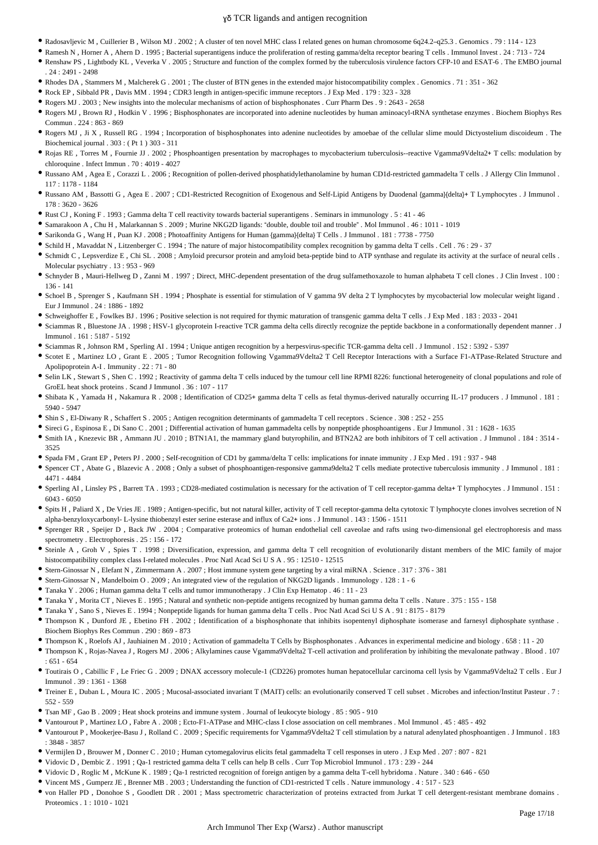- Radosavljevic M , Cuillerier B , Wilson MJ . 2002 ; A cluster of ten novel MHC class I related genes on human chromosome 6q24.2–q25.3 . Genomics . 79 : 114 123
- Ramesh N , Horner A , Ahern D . 1995 ; Bacterial superantigens induce the proliferation of resting gamma/delta receptor bearing T cells . Immunol Invest . 24 : 713 724 Renshaw PS , Lightbody KL , Veverka V . 2005 ; Structure and function of the complex formed by the tuberculosis virulence factors CFP-10 and ESAT-6 . The EMBO journal
- . 24 : 2491 2498
- Rhodes DA , Stammers M , Malcherek G . 2001 ; The cluster of BTN genes in the extended major histocompatibility complex . Genomics . 71 : 351 362
- Rock EP , Sibbald PR , Davis MM . 1994 ; CDR3 length in antigen-specific immune receptors . J Exp Med . 179 : 323 328
- Rogers MJ . 2003 ; New insights into the molecular mechanisms of action of bisphosphonates . Curr Pharm Des . 9 : 2643 2658
- Rogers MJ , Brown RJ , Hodkin V . 1996 ; Bisphosphonates are incorporated into adenine nucleotides by human aminoacyl-tRNA synthetase enzymes . Biochem Biophys Res Commun . 224 : 863 - 869
- Rogers MJ , Ji X , Russell RG . 1994 ; Incorporation of bisphosphonates into adenine nucleotides by amoebae of the cellular slime mould Dictyostelium discoideum . The Biochemical journal . 303 : ( Pt 1 ) 303 - 311
- Rojas RE , Torres M , Fournie JJ . 2002 ; Phosphoantigen presentation by macrophages to mycobacterium tuberculosis--reactive Vgamma9Vdelta2+ T cells: modulation by chloroquine . Infect Immun . 70 : 4019 - 4027
- Russano AM , Agea E , Corazzi L . 2006 ; Recognition of pollen-derived phosphatidylethanolamine by human CD1d-restricted gammadelta T cells . J Allergy Clin Immunol . 117 : 1178 - 1184
- Russano AM , Bassotti G , Agea E . 2007 ; CD1-Restricted Recognition of Exogenous and Self-Lipid Antigens by Duodenal {gamma}{delta}+ T Lymphocytes . J Immunol . 178 : 3620 - 3626
- Rust CJ , Koning F . 1993 ; Gamma delta T cell reactivity towards bacterial superantigens . Seminars in immunology . 5 : 41 46
- Samarakoon A , Chu H , Malarkannan S . 2009 ; Murine NKG2D ligands: "double, double toil and trouble" . Mol Immunol . 46 : 1011 1019
- Sarikonda G , Wang H , Puan KJ . 2008 ; Photoaffinity Antigens for Human {gamma}{delta} T Cells . J Immunol . 181 : 7738 7750
- Schild H , Mavaddat N , Litzenberger C . 1994 ; The nature of major histocompatibility complex recognition by gamma delta T cells . Cell . 76 : 29 37
- Schmidt C , Lepsverdize E , Chi SL . 2008 ; Amyloid precursor protein and amyloid beta-peptide bind to ATP synthase and regulate its activity at the surface of neural cells . Molecular psychiatry 13 · 953 - 969
- Schnyder B , Mauri-Hellweg D , Zanni M . 1997 ; Direct, MHC-dependent presentation of the drug sulfamethoxazole to human alphabeta T cell clones . J Clin Invest . 100 : 136 - 141
- Schoel B , Sprenger S , Kaufmann SH . 1994 ; Phosphate is essential for stimulation of V gamma 9V delta 2 T lymphocytes by mycobacterial low molecular weight ligand . Eur J Immunol . 24 : 1886 - 1892
- Schweighoffer E , Fowlkes BJ . 1996 ; Positive selection is not required for thymic maturation of transgenic gamma delta T cells . J Exp Med . 183 : 2033 2041
- Sciammas R , Bluestone JA . 1998 ; HSV-1 glycoprotein I-reactive TCR gamma delta cells directly recognize the peptide backbone in a conformationally dependent manner . J Immunol . 161 : 5187 - 5192
- Sciammas R , Johnson RM , Sperling AI . 1994 ; Unique antigen recognition by a herpesvirus-specific TCR-gamma delta cell . J Immunol . 152 : 5392 5397
- Scotet E , Martinez LO , Grant E . 2005 ; Tumor Recognition following Vgamma9Vdelta2 T Cell Receptor Interactions with a Surface F1-ATPase-Related Structure and Apolipoprotein A-I . Immunity . 22 : 71 - 80
- Selin LK, Stewart S, Shen C. 1992; Reactivity of gamma delta T cells induced by the tumour cell line RPMI 8226: functional heterogeneity of clonal populations and role of GroEL heat shock proteins . Scand J Immunol . 36 : 107 - 117
- Shibata K , Yamada H , Nakamura R . 2008 ; Identification of CD25+ gamma delta T cells as fetal thymus-derived naturally occurring IL-17 producers . J Immunol . 181 : 5940 - 5947
- Shin S , El-Diwany R , Schaffert S . 2005 ; Antigen recognition determinants of gammadelta T cell receptors . Science . 308 : 252 255
- Sireci G , Espinosa E , Di Sano C . 2001 ; Differential activation of human gammadelta cells by nonpeptide phosphoantigens . Eur J Immunol . 31 : 1628 1635
- Smith IA , Knezevic BR , Ammann JU . 2010 ; BTN1A1, the mammary gland butyrophilin, and BTN2A2 are both inhibitors of T cell activation . J Immunol . 184 : 3514 3525
- Spada FM , Grant EP , Peters PJ . 2000 ; Self-recognition of CD1 by gamma/delta T cells: implications for innate immunity . J Exp Med . 191 : 937 948
- Spencer CT , Abate G , Blazevic A . 2008 ; Only a subset of phosphoantigen-responsive gamma9delta2 T cells mediate protective tuberculosis immunity . J Immunol . 181 : 4471 - 4484
- Sperling AI , Linsley PS , Barrett TA . 1993 ; CD28-mediated costimulation is necessary for the activation of T cell receptor-gamma delta+ T lymphocytes . J Immunol . 151 : 6043 - 6050
- Spits H , Paliard X , De Vries JE . 1989 ; Antigen-specific, but not natural killer, activity of T cell receptor-gamma delta cytotoxic T lymphocyte clones involves secretion of N alpha-benzyloxycarbonyl- L-lysine thiobenzyl ester serine esterase and influx of Ca2+ ions . J Immunol . 143 : 1506 - 1511
- Sprenger RR , Speijer D , Back JW . 2004 ; Comparative proteomics of human endothelial cell caveolae and rafts using two-dimensional gel electrophoresis and mass spectrometry . Electrophoresis . 25 : 156 - 172
- Steinle A , Groh V , Spies T . 1998 ; Diversification, expression, and gamma delta T cell recognition of evolutionarily distant members of the MIC family of major histocompatibility complex class I-related molecules . Proc Natl Acad Sci U S A . 95 : 12510 - 12515
- Stern-Ginossar N , Elefant N , Zimmermann A . 2007 ; Host immune system gene targeting by a viral miRNA . Science . 317 : 376 381
- Stern-Ginossar N , Mandelboim O . 2009 ; An integrated view of the regulation of NKG2D ligands . Immunology . 128 : 1 6
- Tanaka Y . 2006 ; Human gamma delta T cells and tumor immunotherapy . J Clin Exp Hematop . 46 : 11 23
- Tanaka Y , Morita CT , Nieves E . 1995 ; Natural and synthetic non-peptide antigens recognized by human gamma delta T cells . Nature . 375 : 155 158
- Tanaka Y , Sano S , Nieves E . 1994 ; Nonpeptide ligands for human gamma delta T cells . Proc Natl Acad Sci U S A . 91 : 8175 8179
- Thompson K , Dunford JE , Ebetino FH . 2002 ; Identification of a bisphosphonate that inhibits isopentenyl diphosphate isomerase and farnesyl diphosphate synthase . Biochem Biophys Res Commun . 290 : 869 - 873
- Thompson K , Roelofs AJ , Jauhiainen M . 2010 ; Activation of gammadelta T Cells by Bisphosphonates . Advances in experimental medicine and biology . 658 : 11 20
- Thompson K , Rojas-Navea J , Rogers MJ . 2006 ; Alkylamines cause Vgamma9Vdelta2 T-cell activation and proliferation by inhibiting the mevalonate pathway . Blood . 107 : 651 - 654
- Toutirais O , Cabillic F , Le Friec G . 2009 ; DNAX accessory molecule-1 (CD226) promotes human hepatocellular carcinoma cell lysis by Vgamma9Vdelta2 T cells . Eur J Immunol . 39 : 1361 - 1368
- Treiner E , Duban L , Moura IC . 2005 ; Mucosal-associated invariant T (MAIT) cells: an evolutionarily conserved T cell subset . Microbes and infection/Institut Pasteur . 7 : 552 - 559
- Tsan MF , Gao B . 2009 ; Heat shock proteins and immune system . Journal of leukocyte biology . 85 : 905 910
- Vantourout P , Martinez LO , Fabre A . 2008 ; Ecto-F1-ATPase and MHC-class I close association on cell membranes . Mol Immunol . 45 : 485 492
- Vantourout P , Mookerjee-Basu J , Rolland C . 2009 ; Specific requirements for Vgamma9Vdelta2 T cell stimulation by a natural adenylated phosphoantigen . J Immunol . 183 : 3848 - 3857
- Vermijlen D , Brouwer M , Donner C . 2010 ; Human cytomegalovirus elicits fetal gammadelta T cell responses in utero . J Exp Med . 207 : 807 821
- Vidovic D , Dembic Z . 1991 ; Qa-1 restricted gamma delta T cells can help B cells . Curr Top Microbiol Immunol . 173 : 239 244
- Vidovic D , Roglic M , McKune K . 1989 ; Qa-1 restricted recognition of foreign antigen by a gamma delta T-cell hybridoma . Nature . 340 : 646 650
- Vincent MS , Gumperz JE , Brenner MB . 2003 ; Understanding the function of CD1-restricted T cells . Nature immunology . 4 : 517 523
- von Haller PD , Donohoe S , Goodlett DR . 2001 ; Mass spectrometric characterization of proteins extracted from Jurkat T cell detergent-resistant membrane domains . Proteomics . 1 : 1010 - 1021